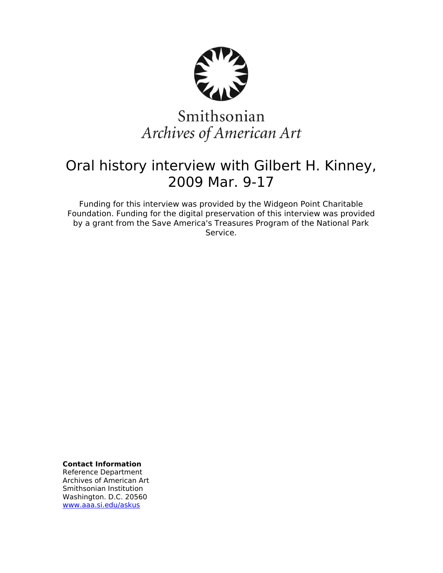

# Smithsonian Archives of American Art

## Oral history interview with Gilbert H. Kinney, 2009 Mar. 9-17

Funding for this interview was provided by the Widgeon Point Charitable Foundation. Funding for the digital preservation of this interview was provided by a grant from the Save America's Treasures Program of the National Park Service.

**Contact Information**

Reference Department Archives of American Art Smithsonian Institution Washington. D.C. 20560 [www.aaa.si.edu/askus](http://www.aaa.si.edu/askus)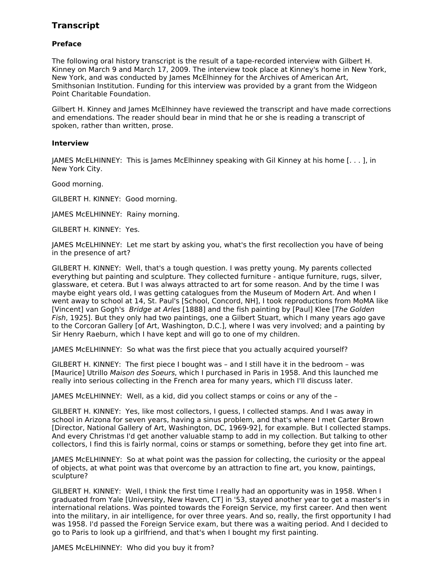### **Transcript**

#### **Preface**

The following oral history transcript is the result of a tape-recorded interview with Gilbert H. Kinney on March 9 and March 17, 2009. The interview took place at Kinney's home in New York, New York, and was conducted by James McElhinney for the Archives of American Art, Smithsonian Institution. Funding for this interview was provided by a grant from the Widgeon Point Charitable Foundation.

Gilbert H. Kinney and James McElhinney have reviewed the transcript and have made corrections and emendations. The reader should bear in mind that he or she is reading a transcript of spoken, rather than written, prose.

#### **Interview**

JAMES McELHINNEY: This is James McElhinney speaking with Gil Kinney at his home [. . . ], in New York City.

Good morning.

GILBERT H. KINNEY: Good morning.

JAMES McELHINNEY: Rainy morning.

GILBERT H. KINNEY: Yes.

JAMES McELHINNEY: Let me start by asking you, what's the first recollection you have of being in the presence of art?

GILBERT H. KINNEY: Well, that's a tough question. I was pretty young. My parents collected everything but painting and sculpture. They collected furniture - antique furniture, rugs, silver, glassware, et cetera. But I was always attracted to art for some reason. And by the time I was maybe eight years old, I was getting catalogues from the Museum of Modern Art. And when I went away to school at 14, St. Paul's [School, Concord, NH], I took reproductions from MoMA like [Vincent] van Gogh's Bridge at Arles [1888] and the fish painting by [Paul] Klee [The Golden Fish, 1925]. But they only had two paintings, one a Gilbert Stuart, which I many years ago gave to the Corcoran Gallery [of Art, Washington, D.C.], where I was very involved; and a painting by Sir Henry Raeburn, which I have kept and will go to one of my children.

JAMES McELHINNEY: So what was the first piece that you actually acquired yourself?

GILBERT H. KINNEY: The first piece I bought was – and I still have it in the bedroom – was [Maurice] Utrillo Maison des Soeurs, which I purchased in Paris in 1958. And this launched me really into serious collecting in the French area for many years, which I'll discuss later.

JAMES McELHINNEY: Well, as a kid, did you collect stamps or coins or any of the –

GILBERT H. KINNEY: Yes, like most collectors, I guess, I collected stamps. And I was away in school in Arizona for seven years, having a sinus problem, and that's where I met Carter Brown [Director, National Gallery of Art, Washington, DC, 1969-92], for example. But I collected stamps. And every Christmas I'd get another valuable stamp to add in my collection. But talking to other collectors, I find this is fairly normal, coins or stamps or something, before they get into fine art.

JAMES McELHINNEY: So at what point was the passion for collecting, the curiosity or the appeal of objects, at what point was that overcome by an attraction to fine art, you know, paintings, sculpture?

GILBERT H. KINNEY: Well, I think the first time I really had an opportunity was in 1958. When I graduated from Yale [University, New Haven, CT] in '53, stayed another year to get a master's in international relations. Was pointed towards the Foreign Service, my first career. And then went into the military, in air intelligence, for over three years. And so, really, the first opportunity I had was 1958. I'd passed the Foreign Service exam, but there was a waiting period. And I decided to go to Paris to look up a girlfriend, and that's when I bought my first painting.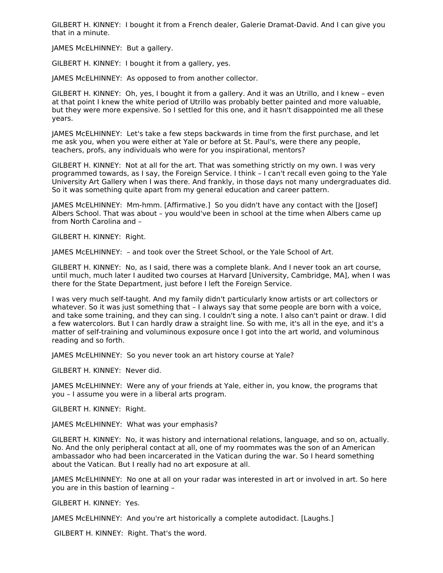GILBERT H. KINNEY: I bought it from a French dealer, Galerie Dramat-David. And I can give you that in a minute.

JAMES McELHINNEY: But a gallery.

GILBERT H. KINNEY: I bought it from a gallery, yes.

JAMES McELHINNEY: As opposed to from another collector.

GILBERT H. KINNEY: Oh, yes, I bought it from a gallery. And it was an Utrillo, and I knew – even at that point I knew the white period of Utrillo was probably better painted and more valuable, but they were more expensive. So I settled for this one, and it hasn't disappointed me all these years.

JAMES McELHINNEY: Let's take a few steps backwards in time from the first purchase, and let me ask you, when you were either at Yale or before at St. Paul's, were there any people, teachers, profs, any individuals who were for you inspirational, mentors?

GILBERT H. KINNEY: Not at all for the art. That was something strictly on my own. I was very programmed towards, as I say, the Foreign Service. I think – I can't recall even going to the Yale University Art Gallery when I was there. And frankly, in those days not many undergraduates did. So it was something quite apart from my general education and career pattern.

JAMES McELHINNEY: Mm-hmm. [Affirmative.] So you didn't have any contact with the [Josef] Albers School. That was about – you would've been in school at the time when Albers came up from North Carolina and –

GILBERT H. KINNEY: Right.

JAMES McELHINNEY: – and took over the Street School, or the Yale School of Art.

GILBERT H. KINNEY: No, as I said, there was a complete blank. And I never took an art course, until much, much later I audited two courses at Harvard [University, Cambridge, MA], when I was there for the State Department, just before I left the Foreign Service.

I was very much self-taught. And my family didn't particularly know artists or art collectors or whatever. So it was just something that – I always say that some people are born with a voice, and take some training, and they can sing. I couldn't sing a note. I also can't paint or draw. I did a few watercolors. But I can hardly draw a straight line. So with me, it's all in the eye, and it's a matter of self-training and voluminous exposure once I got into the art world, and voluminous reading and so forth.

JAMES McELHINNEY: So you never took an art history course at Yale?

GILBERT H. KINNEY: Never did.

JAMES McELHINNEY: Were any of your friends at Yale, either in, you know, the programs that you – I assume you were in a liberal arts program.

GILBERT H. KINNEY: Right.

JAMES McELHINNEY: What was your emphasis?

GILBERT H. KINNEY: No, it was history and international relations, language, and so on, actually. No. And the only peripheral contact at all, one of my roommates was the son of an American ambassador who had been incarcerated in the Vatican during the war. So I heard something about the Vatican. But I really had no art exposure at all.

JAMES McELHINNEY: No one at all on your radar was interested in art or involved in art. So here you are in this bastion of learning –

GILBERT H. KINNEY: Yes.

JAMES McELHINNEY: And you're art historically a complete autodidact. [Laughs.]

GILBERT H. KINNEY: Right. That's the word.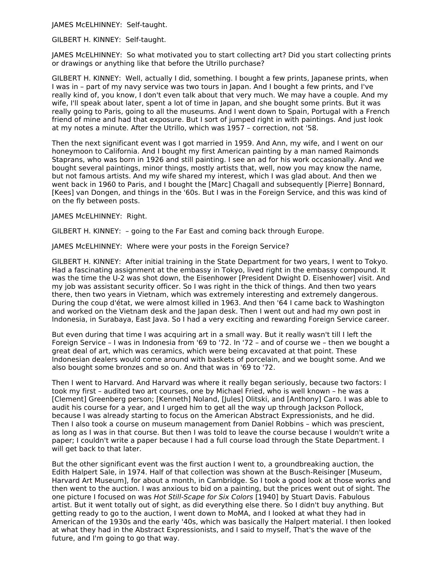JAMES McELHINNEY: Self-taught.

GILBERT H. KINNEY: Self-taught.

JAMES McELHINNEY: So what motivated you to start collecting art? Did you start collecting prints or drawings or anything like that before the Utrillo purchase?

GILBERT H. KINNEY: Well, actually I did, something. I bought a few prints, Japanese prints, when I was in – part of my navy service was two tours in Japan. And I bought a few prints, and I've really kind of, you know, I don't even talk about that very much. We may have a couple. And my wife, I'll speak about later, spent a lot of time in Japan, and she bought some prints. But it was really going to Paris, going to all the museums. And I went down to Spain, Portugal with a French friend of mine and had that exposure. But I sort of jumped right in with paintings. And just look at my notes a minute. After the Utrillo, which was 1957 – correction, not '58.

Then the next significant event was I got married in 1959. And Ann, my wife, and I went on our honeymoon to California. And I bought my first American painting by a man named Raimonds Staprans, who was born in 1926 and still painting. I see an ad for his work occasionally. And we bought several paintings, minor things, mostly artists that, well, now you may know the name, but not famous artists. And my wife shared my interest, which I was glad about. And then we went back in 1960 to Paris, and I bought the [Marc] Chagall and subsequently [Pierre] Bonnard, [Kees] van Dongen, and things in the '60s. But I was in the Foreign Service, and this was kind of on the fly between posts.

JAMES McELHINNEY: Right.

GILBERT H. KINNEY: – going to the Far East and coming back through Europe.

JAMES McELHINNEY: Where were your posts in the Foreign Service?

GILBERT H. KINNEY: After initial training in the State Department for two years, I went to Tokyo. Had a fascinating assignment at the embassy in Tokyo, lived right in the embassy compound. It was the time the U-2 was shot down, the Eisenhower [President Dwight D. Eisenhower] visit. And my job was assistant security officer. So I was right in the thick of things. And then two years there, then two years in Vietnam, which was extremely interesting and extremely dangerous. During the coup d'état, we were almost killed in 1963. And then '64 I came back to Washington and worked on the Vietnam desk and the Japan desk. Then I went out and had my own post in Indonesia, in Surabaya, East Java. So I had a very exciting and rewarding Foreign Service career.

But even during that time I was acquiring art in a small way. But it really wasn't till I left the Foreign Service – I was in Indonesia from '69 to '72. In '72 – and of course we – then we bought a great deal of art, which was ceramics, which were being excavated at that point. These Indonesian dealers would come around with baskets of porcelain, and we bought some. And we also bought some bronzes and so on. And that was in '69 to '72.

Then I went to Harvard. And Harvard was where it really began seriously, because two factors: I took my first – audited two art courses, one by Michael Fried, who is well known – he was a [Clement] Greenberg person; [Kenneth] Noland, [Jules] Olitski, and [Anthony] Caro. I was able to audit his course for a year, and I urged him to get all the way up through Jackson Pollock, because I was already starting to focus on the American Abstract Expressionists, and he did. Then I also took a course on museum management from Daniel Robbins – which was prescient, as long as I was in that course. But then I was told to leave the course because I wouldn't write a paper; I couldn't write a paper because I had a full course load through the State Department. I will get back to that later.

But the other significant event was the first auction I went to, a groundbreaking auction, the Edith Halpert Sale, in 1974. Half of that collection was shown at the Busch-Reisinger [Museum, Harvard Art Museum], for about a month, in Cambridge. So I took a good look at those works and then went to the auction. I was anxious to bid on a painting, but the prices went out of sight. The one picture I focused on was Hot Still-Scape for Six Colors [1940] by Stuart Davis. Fabulous artist. But it went totally out of sight, as did everything else there. So I didn't buy anything. But getting ready to go to the auction, I went down to MoMA, and I looked at what they had in American of the 1930s and the early '40s, which was basically the Halpert material. I then looked at what they had in the Abstract Expressionists, and I said to myself, That's the wave of the future, and I'm going to go that way.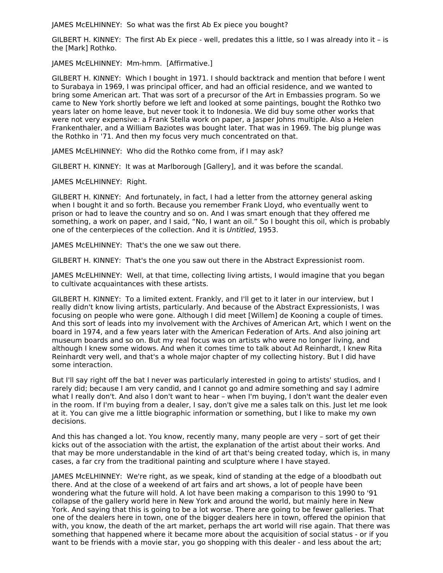JAMES McELHINNEY: So what was the first Ab Ex piece you bought?

GILBERT H. KINNEY: The first Ab Ex piece - well, predates this a little, so I was already into it – is the [Mark] Rothko.

JAMES McELHINNEY: Mm-hmm. [Affirmative.]

GILBERT H. KINNEY: Which I bought in 1971. I should backtrack and mention that before I went to Surabaya in 1969, I was principal officer, and had an official residence, and we wanted to bring some American art. That was sort of a precursor of the Art in Embassies program. So we came to New York shortly before we left and looked at some paintings, bought the Rothko two years later on home leave, but never took it to Indonesia. We did buy some other works that were not very expensive: a Frank Stella work on paper, a Jasper Johns multiple. Also a Helen Frankenthaler, and a William Baziotes was bought later. That was in 1969. The big plunge was the Rothko in '71. And then my focus very much concentrated on that.

JAMES McELHINNEY: Who did the Rothko come from, if I may ask?

GILBERT H. KINNEY: It was at Marlborough [Gallery], and it was before the scandal.

JAMES McELHINNEY: Right.

GILBERT H. KINNEY: And fortunately, in fact, I had a letter from the attorney general asking when I bought it and so forth. Because you remember Frank Lloyd, who eventually went to prison or had to leave the country and so on. And I was smart enough that they offered me something, a work on paper, and I said, "No, I want an oil." So I bought this oil, which is probably one of the centerpieces of the collection. And it is Untitled, 1953.

JAMES McELHINNEY: That's the one we saw out there.

GILBERT H. KINNEY: That's the one you saw out there in the Abstract Expressionist room.

JAMES McELHINNEY: Well, at that time, collecting living artists, I would imagine that you began to cultivate acquaintances with these artists.

GILBERT H. KINNEY: To a limited extent. Frankly, and I'll get to it later in our interview, but I really didn't know living artists, particularly. And because of the Abstract Expressionists, I was focusing on people who were gone. Although I did meet [Willem] de Kooning a couple of times. And this sort of leads into my involvement with the Archives of American Art, which I went on the board in 1974, and a few years later with the American Federation of Arts. And also joining art museum boards and so on. But my real focus was on artists who were no longer living, and although I knew some widows. And when it comes time to talk about Ad Reinhardt, I knew Rita Reinhardt very well, and that's a whole major chapter of my collecting history. But I did have some interaction.

But I'll say right off the bat I never was particularly interested in going to artists' studios, and I rarely did; because I am very candid, and I cannot go and admire something and say I admire what I really don't. And also I don't want to hear – when I'm buying, I don't want the dealer even in the room. If I'm buying from a dealer, I say, don't give me a sales talk on this. Just let me look at it. You can give me a little biographic information or something, but I like to make my own decisions.

And this has changed a lot. You know, recently many, many people are very – sort of get their kicks out of the association with the artist, the explanation of the artist about their works. And that may be more understandable in the kind of art that's being created today, which is, in many cases, a far cry from the traditional painting and sculpture where I have stayed.

JAMES McELHINNEY: We're right, as we speak, kind of standing at the edge of a bloodbath out there. And at the close of a weekend of art fairs and art shows, a lot of people have been wondering what the future will hold. A lot have been making a comparison to this 1990 to '91 collapse of the gallery world here in New York and around the world, but mainly here in New York. And saying that this is going to be a lot worse. There are going to be fewer galleries. That one of the dealers here in town, one of the bigger dealers here in town, offered the opinion that with, you know, the death of the art market, perhaps the art world will rise again. That there was something that happened where it became more about the acquisition of social status - or if you want to be friends with a movie star, you go shopping with this dealer - and less about the art;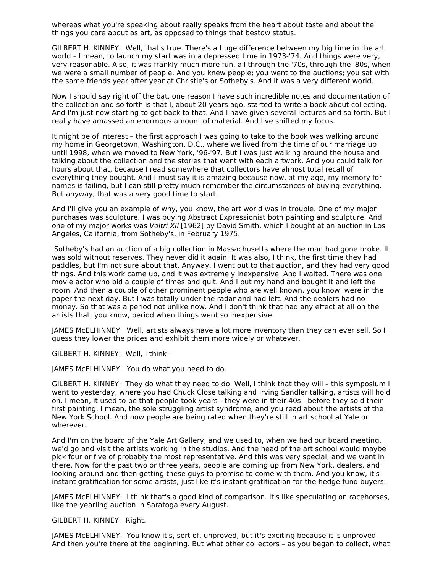whereas what you're speaking about really speaks from the heart about taste and about the things you care about as art, as opposed to things that bestow status.

GILBERT H. KINNEY: Well, that's true. There's a huge difference between my big time in the art world – I mean, to launch my start was in a depressed time in 1973-'74. And things were very, very reasonable. Also, it was frankly much more fun, all through the '70s, through the '80s, when we were a small number of people. And you knew people; you went to the auctions; you sat with the same friends year after year at Christie's or Sotheby's. And it was a very different world.

Now I should say right off the bat, one reason I have such incredible notes and documentation of the collection and so forth is that I, about 20 years ago, started to write a book about collecting. And I'm just now starting to get back to that. And I have given several lectures and so forth. But I really have amassed an enormous amount of material. And I've shifted my focus.

It might be of interest – the first approach I was going to take to the book was walking around my home in Georgetown, Washington, D.C., where we lived from the time of our marriage up until 1998, when we moved to New York, '96-'97. But I was just walking around the house and talking about the collection and the stories that went with each artwork. And you could talk for hours about that, because I read somewhere that collectors have almost total recall of everything they bought. And I must say it is amazing because now, at my age, my memory for names is failing, but I can still pretty much remember the circumstances of buying everything. But anyway, that was a very good time to start.

And I'll give you an example of why, you know, the art world was in trouble. One of my major purchases was sculpture. I was buying Abstract Expressionist both painting and sculpture. And one of my major works was *Voltri XII* [1962] by David Smith, which I bought at an auction in Los Angeles, California, from Sotheby's, in February 1975.

Sotheby's had an auction of a big collection in Massachusetts where the man had gone broke. It was sold without reserves. They never did it again. It was also, I think, the first time they had paddles, but I'm not sure about that. Anyway, I went out to that auction, and they had very good things. And this work came up, and it was extremely inexpensive. And I waited. There was one movie actor who bid a couple of times and quit. And I put my hand and bought it and left the room. And then a couple of other prominent people who are well known, you know, were in the paper the next day. But I was totally under the radar and had left. And the dealers had no money. So that was a period not unlike now. And I don't think that had any effect at all on the artists that, you know, period when things went so inexpensive.

JAMES McELHINNEY: Well, artists always have a lot more inventory than they can ever sell. So I guess they lower the prices and exhibit them more widely or whatever.

GILBERT H. KINNEY: Well, I think –

JAMES McELHINNEY: You do what you need to do.

GILBERT H. KINNEY: They do what they need to do. Well, I think that they will – this symposium I went to yesterday, where you had Chuck Close talking and Irving Sandler talking, artists will hold on. I mean, it used to be that people took years - they were in their 40s - before they sold their first painting. I mean, the sole struggling artist syndrome, and you read about the artists of the New York School. And now people are being rated when they're still in art school at Yale or wherever.

And I'm on the board of the Yale Art Gallery, and we used to, when we had our board meeting, we'd go and visit the artists working in the studios. And the head of the art school would maybe pick four or five of probably the most representative. And this was very special, and we went in there. Now for the past two or three years, people are coming up from New York, dealers, and looking around and then getting these guys to promise to come with them. And you know, it's instant gratification for some artists, just like it's instant gratification for the hedge fund buyers.

JAMES McELHINNEY: I think that's a good kind of comparison. It's like speculating on racehorses, like the yearling auction in Saratoga every August.

#### GILBERT H. KINNEY: Right.

JAMES McELHINNEY: You know it's, sort of, unproved, but it's exciting because it is unproved. And then you're there at the beginning. But what other collectors – as you began to collect, what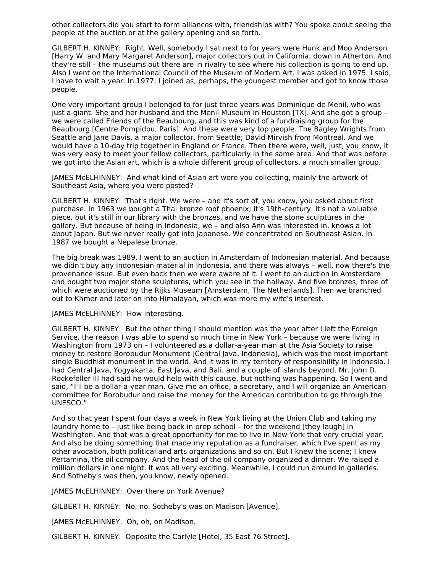other collectors did you start to form alliances with, friendships with? You spoke about seeing the people at the auction or at the gallery opening and so forth.

GILBERT H. KINNEY: Right. Well, somebody I sat next to for years were Hunk and Moo Anderson [Harry W. and Mary Margaret Anderson], major collectors out in California, down in Atherton. And they're still – the museums out there are in rivalry to see where his collection is going to end up. Also I went on the International Council of the Museum of Modern Art. I was asked in 1975. I said, I have to wait a year. In 1977, I joined as, perhaps, the youngest member and got to know those people.

One very important group I belonged to for just three years was Dominique de Menil, who was just a giant. She and her husband and the Menil Museum in Houston [TX]. And she got a group – we were called Friends of the Beaubourg, and this was kind of a fundraising group for the Beaubourg [Centre Pompidou, Paris]. And these were very top people. The Bagley Wrights from Seattle and Jane Davis, a major collector, from Seattle; David Mirvish from Montreal. And we would have a 10-day trip together in England or France. Then there were, well, just, you know, it was very easy to meet your fellow collectors, particularly in the same area. And that was before we got into the Asian art, which is a whole different group of collectors, a much smaller group.

JAMES McELHINNEY: And what kind of Asian art were you collecting, mainly the artwork of Southeast Asia, where you were posted?

GILBERT H. KINNEY: That's right. We were – and it's sort of, you know, you asked about first purchase. In 1963 we bought a Thai bronze roof phoenix; it's 19th-century. It's not a valuable piece, but it's still in our library with the bronzes, and we have the stone sculptures in the gallery. But because of being in Indonesia, we – and also Ann was interested in, knows a lot about Japan. But we never really got into Japanese. We concentrated on Southeast Asian. In 1987 we bought a Nepalese bronze.

The big break was 1989. I went to an auction in Amsterdam of Indonesian material. And because we didn't buy any Indonesian material in Indonesia, and there was always – well, now there's the provenance issue. But even back then we were aware of it. I went to an auction in Amsterdam and bought two major stone sculptures, which you see in the hallway. And five bronzes, three of which were auctioned by the Rijks Museum [Amsterdam, The Netherlands]. Then we branched out to Khmer and later on into Himalayan, which was more my wife's interest.

#### JAMES McELHINNEY: How interesting.

GILBERT H. KINNEY: But the other thing I should mention was the year after I left the Foreign Service, the reason I was able to spend so much time in New York – because we were living in Washington from 1973 on – I volunteered as a dollar-a-year man at the Asia Society to raise money to restore Borobudur Monument [Central Java, Indonesia], which was the most important single Buddhist monument in the world. And it was in my territory of responsibility in Indonesia. I had Central Java, Yogyakarta, East Java, and Bali, and a couple of islands beyond. Mr. John D. Rockefeller III had said he would help with this cause, but nothing was happening. So I went and said, "I'll be a dollar-a-year man. Give me an office, a secretary, and I will organize an American committee for Borobudur and raise the money for the American contribution to go through the UNESCO."

And so that year I spent four days a week in New York living at the Union Club and taking my laundry home to – just like being back in prep school – for the weekend [they laugh] in Washington. And that was a great opportunity for me to live in New York that very crucial year. And also be doing something that made my reputation as a fundraiser, which I've spent as my other avocation, both political and arts organizations and so on. But I knew the scene; I knew Pertamina, the oil company. And the head of the oil company organized a dinner. We raised a million dollars in one night. It was all very exciting. Meanwhile, I could run around in galleries. And Sotheby's was then, you know, newly opened.

JAMES McELHINNEY: Over there on York Avenue?

GILBERT H. KINNEY: No, no. Sotheby's was on Madison [Avenue].

JAMES McELHINNEY: Oh, oh, on Madison.

GILBERT H. KINNEY: Opposite the Carlyle [Hotel, 35 East 76 Street].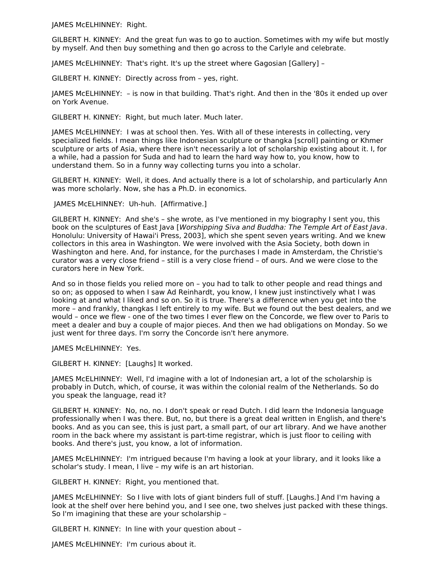JAMES McELHINNEY: Right.

GILBERT H. KINNEY: And the great fun was to go to auction. Sometimes with my wife but mostly by myself. And then buy something and then go across to the Carlyle and celebrate.

JAMES McELHINNEY: That's right. It's up the street where Gagosian [Gallery] –

GILBERT H. KINNEY: Directly across from – yes, right.

JAMES McELHINNEY: – is now in that building. That's right. And then in the '80s it ended up over on York Avenue.

GILBERT H. KINNEY: Right, but much later. Much later.

JAMES McELHINNEY: I was at school then. Yes. With all of these interests in collecting, very specialized fields. I mean things like Indonesian sculpture or thangka [scroll] painting or Khmer sculpture or arts of Asia, where there isn't necessarily a lot of scholarship existing about it. I, for a while, had a passion for Suda and had to learn the hard way how to, you know, how to understand them. So in a funny way collecting turns you into a scholar.

GILBERT H. KINNEY: Well, it does. And actually there is a lot of scholarship, and particularly Ann was more scholarly. Now, she has a Ph.D. in economics.

JAMES McELHINNEY: Uh-huh. [Affirmative.]

GILBERT H. KINNEY: And she's – she wrote, as I've mentioned in my biography I sent you, this book on the sculptures of East Java [Worshipping Siva and Buddha: The Temple Art of East Java. Honolulu: University of Hawai'i Press, 2003], which she spent seven years writing. And we knew collectors in this area in Washington. We were involved with the Asia Society, both down in Washington and here. And, for instance, for the purchases I made in Amsterdam, the Christie's curator was a very close friend – still is a very close friend – of ours. And we were close to the curators here in New York.

And so in those fields you relied more on – you had to talk to other people and read things and so on; as opposed to when I saw Ad Reinhardt, you know, I knew just instinctively what I was looking at and what I liked and so on. So it is true. There's a difference when you get into the more – and frankly, thangkas I left entirely to my wife. But we found out the best dealers, and we would – once we flew - one of the two times I ever flew on the Concorde, we flew over to Paris to meet a dealer and buy a couple of major pieces. And then we had obligations on Monday. So we just went for three days. I'm sorry the Concorde isn't here anymore.

JAMES McELHINNEY: Yes.

GILBERT H. KINNEY: [Laughs] It worked.

JAMES McELHINNEY: Well, I'd imagine with a lot of Indonesian art, a lot of the scholarship is probably in Dutch, which, of course, it was within the colonial realm of the Netherlands. So do you speak the language, read it?

GILBERT H. KINNEY: No, no, no. I don't speak or read Dutch. I did learn the Indonesia language professionally when I was there. But, no, but there is a great deal written in English, and there's books. And as you can see, this is just part, a small part, of our art library. And we have another room in the back where my assistant is part-time registrar, which is just floor to ceiling with books. And there's just, you know, a lot of information.

JAMES McELHINNEY: I'm intrigued because I'm having a look at your library, and it looks like a scholar's study. I mean, I live – my wife is an art historian.

GILBERT H. KINNEY: Right, you mentioned that.

JAMES McELHINNEY: So I live with lots of giant binders full of stuff. [Laughs.] And I'm having a look at the shelf over here behind you, and I see one, two shelves just packed with these things. So I'm imagining that these are your scholarship –

GILBERT H. KINNEY: In line with your question about –

JAMES McELHINNEY: I'm curious about it.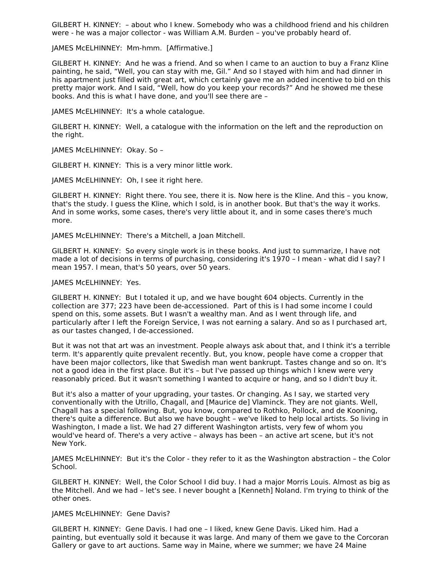GILBERT H. KINNEY: – about who I knew. Somebody who was a childhood friend and his children were - he was a major collector - was William A.M. Burden – you've probably heard of.

JAMES McELHINNEY: Mm-hmm. [Affirmative.]

GILBERT H. KINNEY: And he was a friend. And so when I came to an auction to buy a Franz Kline painting, he said, "Well, you can stay with me, Gil." And so I stayed with him and had dinner in his apartment just filled with great art, which certainly gave me an added incentive to bid on this pretty major work. And I said, "Well, how do you keep your records?" And he showed me these books. And this is what I have done, and you'll see there are –

JAMES McELHINNEY: It's a whole catalogue.

GILBERT H. KINNEY: Well, a catalogue with the information on the left and the reproduction on the right.

JAMES McELHINNEY: Okay. So –

GILBERT H. KINNEY: This is a very minor little work.

JAMES McELHINNEY: Oh, I see it right here.

GILBERT H. KINNEY: Right there. You see, there it is. Now here is the Kline. And this – you know, that's the study. I guess the Kline, which I sold, is in another book. But that's the way it works. And in some works, some cases, there's very little about it, and in some cases there's much more.

JAMES McELHINNEY: There's a Mitchell, a Joan Mitchell.

GILBERT H. KINNEY: So every single work is in these books. And just to summarize, I have not made a lot of decisions in terms of purchasing, considering it's 1970 – I mean - what did I say? I mean 1957. I mean, that's 50 years, over 50 years.

#### JAMES McELHINNEY: Yes.

GILBERT H. KINNEY: But I totaled it up, and we have bought 604 objects. Currently in the collection are 377; 223 have been de-accessioned. Part of this is I had some income I could spend on this, some assets. But I wasn't a wealthy man. And as I went through life, and particularly after I left the Foreign Service, I was not earning a salary. And so as I purchased art, as our tastes changed, I de-accessioned.

But it was not that art was an investment. People always ask about that, and I think it's a terrible term. It's apparently quite prevalent recently. But, you know, people have come a cropper that have been major collectors, like that Swedish man went bankrupt. Tastes change and so on. It's not a good idea in the first place. But it's – but I've passed up things which I knew were very reasonably priced. But it wasn't something I wanted to acquire or hang, and so I didn't buy it.

But it's also a matter of your upgrading, your tastes. Or changing. As I say, we started very conventionally with the Utrillo, Chagall, and [Maurice de] Vlaminck. They are not giants. Well, Chagall has a special following. But, you know, compared to Rothko, Pollock, and de Kooning, there's quite a difference. But also we have bought – we've liked to help local artists. So living in Washington, I made a list. We had 27 different Washington artists, very few of whom you would've heard of. There's a very active – always has been – an active art scene, but it's not New York.

JAMES McELHINNEY: But it's the Color - they refer to it as the Washington abstraction – the Color School.

GILBERT H. KINNEY: Well, the Color School I did buy. I had a major Morris Louis. Almost as big as the Mitchell. And we had – let's see. I never bought a [Kenneth] Noland. I'm trying to think of the other ones.

JAMES McELHINNEY: Gene Davis?

GILBERT H. KINNEY: Gene Davis. I had one – I liked, knew Gene Davis. Liked him. Had a painting, but eventually sold it because it was large. And many of them we gave to the Corcoran Gallery or gave to art auctions. Same way in Maine, where we summer; we have 24 Maine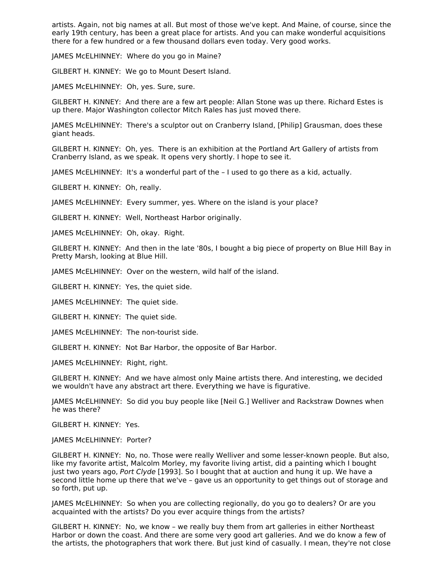artists. Again, not big names at all. But most of those we've kept. And Maine, of course, since the early 19th century, has been a great place for artists. And you can make wonderful acquisitions there for a few hundred or a few thousand dollars even today. Very good works.

JAMES McELHINNEY: Where do you go in Maine?

GILBERT H. KINNEY: We go to Mount Desert Island.

JAMES McELHINNEY: Oh, yes. Sure, sure.

GILBERT H. KINNEY: And there are a few art people: Allan Stone was up there. Richard Estes is up there. Major Washington collector Mitch Rales has just moved there.

JAMES McELHINNEY: There's a sculptor out on Cranberry Island, [Philip] Grausman, does these giant heads.

GILBERT H. KINNEY: Oh, yes. There is an exhibition at the Portland Art Gallery of artists from Cranberry Island, as we speak. It opens very shortly. I hope to see it.

JAMES McELHINNEY: It's a wonderful part of the – I used to go there as a kid, actually.

GILBERT H. KINNEY: Oh, really.

JAMES McELHINNEY: Every summer, yes. Where on the island is your place?

GILBERT H. KINNEY: Well, Northeast Harbor originally.

JAMES McELHINNEY: Oh, okay. Right.

GILBERT H. KINNEY: And then in the late '80s, I bought a big piece of property on Blue Hill Bay in Pretty Marsh, looking at Blue Hill.

JAMES McELHINNEY: Over on the western, wild half of the island.

GILBERT H. KINNEY: Yes, the quiet side.

JAMES McELHINNEY: The quiet side.

GILBERT H. KINNEY: The quiet side.

JAMES McELHINNEY: The non-tourist side.

GILBERT H. KINNEY: Not Bar Harbor, the opposite of Bar Harbor.

JAMES McELHINNEY: Right, right.

GILBERT H. KINNEY: And we have almost only Maine artists there. And interesting, we decided we wouldn't have any abstract art there. Everything we have is figurative.

JAMES McELHINNEY: So did you buy people like [Neil G.] Welliver and Rackstraw Downes when he was there?

GILBERT H. KINNEY: Yes.

JAMES McELHINNEY: Porter?

GILBERT H. KINNEY: No, no. Those were really Welliver and some lesser-known people. But also, like my favorite artist, Malcolm Morley, my favorite living artist, did a painting which I bought just two years ago, Port Clyde [1993]. So I bought that at auction and hung it up. We have a second little home up there that we've – gave us an opportunity to get things out of storage and so forth, put up.

JAMES McELHINNEY: So when you are collecting regionally, do you go to dealers? Or are you acquainted with the artists? Do you ever acquire things from the artists?

GILBERT H. KINNEY: No, we know – we really buy them from art galleries in either Northeast Harbor or down the coast. And there are some very good art galleries. And we do know a few of the artists, the photographers that work there. But just kind of casually. I mean, they're not close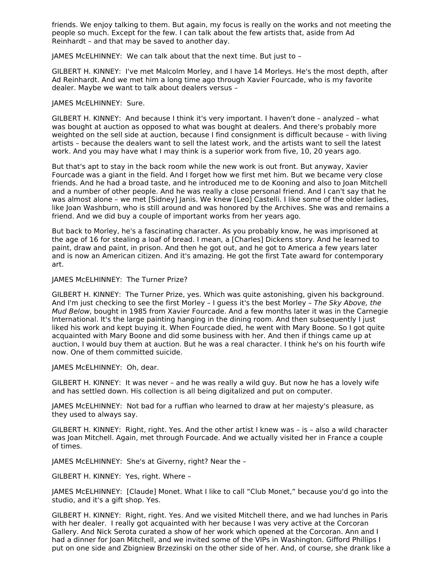friends. We enjoy talking to them. But again, my focus is really on the works and not meeting the people so much. Except for the few. I can talk about the few artists that, aside from Ad Reinhardt – and that may be saved to another day.

JAMES McELHINNEY: We can talk about that the next time. But just to –

GILBERT H. KINNEY: I've met Malcolm Morley, and I have 14 Morleys. He's the most depth, after Ad Reinhardt. And we met him a long time ago through Xavier Fourcade, who is my favorite dealer. Maybe we want to talk about dealers versus –

#### JAMES McELHINNEY: Sure.

GILBERT H. KINNEY: And because I think it's very important. I haven't done – analyzed – what was bought at auction as opposed to what was bought at dealers. And there's probably more weighted on the sell side at auction, because I find consignment is difficult because – with living artists – because the dealers want to sell the latest work, and the artists want to sell the latest work. And you may have what I may think is a superior work from five, 10, 20 years ago.

But that's apt to stay in the back room while the new work is out front. But anyway, Xavier Fourcade was a giant in the field. And I forget how we first met him. But we became very close friends. And he had a broad taste, and he introduced me to de Kooning and also to Joan Mitchell and a number of other people. And he was really a close personal friend. And I can't say that he was almost alone – we met [Sidney] Janis. We knew [Leo] Castelli. I like some of the older ladies, like Joan Washburn, who is still around and was honored by the Archives. She was and remains a friend. And we did buy a couple of important works from her years ago.

But back to Morley, he's a fascinating character. As you probably know, he was imprisoned at the age of 16 for stealing a loaf of bread. I mean, a [Charles] Dickens story. And he learned to paint, draw and paint, in prison. And then he got out, and he got to America a few years later and is now an American citizen. And it's amazing. He got the first Tate award for contemporary art.

#### JAMES McELHINNEY: The Turner Prize?

GILBERT H. KINNEY: The Turner Prize, yes. Which was quite astonishing, given his background. And I'm just checking to see the first Morley - I guess it's the best Morley - The Sky Above, the Mud Below, bought in 1985 from Xavier Fourcade. And a few months later it was in the Carnegie International. It's the large painting hanging in the dining room. And then subsequently I just liked his work and kept buying it. When Fourcade died, he went with Mary Boone. So I got quite acquainted with Mary Boone and did some business with her. And then if things came up at auction, I would buy them at auction. But he was a real character. I think he's on his fourth wife now. One of them committed suicide.

JAMES McELHINNEY: Oh, dear.

GILBERT H. KINNEY: It was never – and he was really a wild guy. But now he has a lovely wife and has settled down. His collection is all being digitalized and put on computer.

JAMES McELHINNEY: Not bad for a ruffian who learned to draw at her majesty's pleasure, as they used to always say.

GILBERT H. KINNEY: Right, right. Yes. And the other artist I knew was – is – also a wild character was Joan Mitchell. Again, met through Fourcade. And we actually visited her in France a couple of times.

JAMES McELHINNEY: She's at Giverny, right? Near the –

GILBERT H. KINNEY: Yes, right. Where –

JAMES McELHINNEY: [Claude] Monet. What I like to call "Club Monet," because you'd go into the studio, and it's a gift shop. Yes.

GILBERT H. KINNEY: Right, right. Yes. And we visited Mitchell there, and we had lunches in Paris with her dealer. I really got acquainted with her because I was very active at the Corcoran Gallery. And Nick Serota curated a show of her work which opened at the Corcoran. Ann and I had a dinner for Joan Mitchell, and we invited some of the VIPs in Washington. Gifford Phillips I put on one side and Zbigniew Brzezinski on the other side of her. And, of course, she drank like a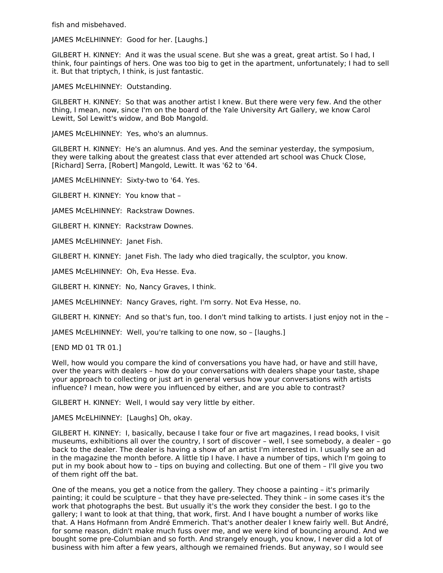fish and misbehaved.

JAMES McELHINNEY: Good for her. [Laughs.]

GILBERT H. KINNEY: And it was the usual scene. But she was a great, great artist. So I had, I think, four paintings of hers. One was too big to get in the apartment, unfortunately; I had to sell it. But that triptych, I think, is just fantastic.

JAMES McELHINNEY: Outstanding.

GILBERT H. KINNEY: So that was another artist I knew. But there were very few. And the other thing, I mean, now, since I'm on the board of the Yale University Art Gallery, we know Carol Lewitt, Sol Lewitt's widow, and Bob Mangold.

JAMES McELHINNEY: Yes, who's an alumnus.

GILBERT H. KINNEY: He's an alumnus. And yes. And the seminar yesterday, the symposium, they were talking about the greatest class that ever attended art school was Chuck Close, [Richard] Serra, [Robert] Mangold, Lewitt. It was '62 to '64.

JAMES McELHINNEY: Sixty-two to '64. Yes.

GILBERT H. KINNEY: You know that –

JAMES McELHINNEY: Rackstraw Downes.

GILBERT H. KINNEY: Rackstraw Downes.

JAMES McELHINNEY: Janet Fish.

GILBERT H. KINNEY: Janet Fish. The lady who died tragically, the sculptor, you know.

JAMES McELHINNEY: Oh, Eva Hesse. Eva.

GILBERT H. KINNEY: No, Nancy Graves, I think.

JAMES McELHINNEY: Nancy Graves, right. I'm sorry. Not Eva Hesse, no.

GILBERT H. KINNEY: And so that's fun, too. I don't mind talking to artists. I just enjoy not in the –

JAMES McELHINNEY: Well, you're talking to one now, so – [laughs.]

[END MD 01 TR 01.]

Well, how would you compare the kind of conversations you have had, or have and still have, over the years with dealers – how do your conversations with dealers shape your taste, shape your approach to collecting or just art in general versus how your conversations with artists influence? I mean, how were you influenced by either, and are you able to contrast?

GILBERT H. KINNEY: Well, I would say very little by either.

JAMES McELHINNEY: [Laughs] Oh, okay.

GILBERT H. KINNEY: I, basically, because I take four or five art magazines, I read books, I visit museums, exhibitions all over the country, I sort of discover – well, I see somebody, a dealer – go back to the dealer. The dealer is having a show of an artist I'm interested in. I usually see an ad in the magazine the month before. A little tip I have. I have a number of tips, which I'm going to put in my book about how to – tips on buying and collecting. But one of them – I'll give you two of them right off the bat.

One of the means, you get a notice from the gallery. They choose a painting – it's primarily painting; it could be sculpture – that they have pre-selected. They think – in some cases it's the work that photographs the best. But usually it's the work they consider the best. I go to the gallery; I want to look at that thing, that work, first. And I have bought a number of works like that. A Hans Hofmann from André Emmerich. That's another dealer I knew fairly well. But André, for some reason, didn't make much fuss over me, and we were kind of bouncing around. And we bought some pre-Columbian and so forth. And strangely enough, you know, I never did a lot of business with him after a few years, although we remained friends. But anyway, so I would see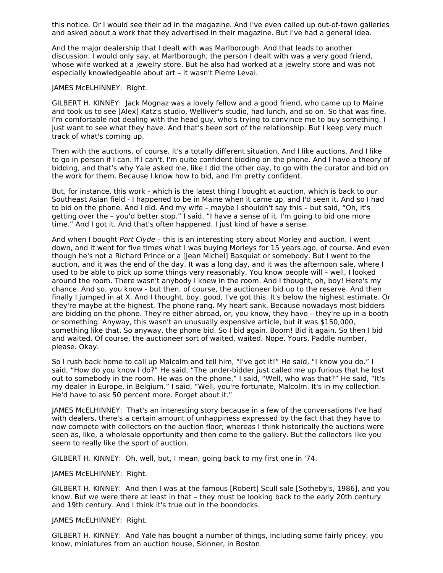this notice. Or I would see their ad in the magazine. And I've even called up out-of-town galleries and asked about a work that they advertised in their magazine. But I've had a general idea.

And the major dealership that I dealt with was Marlborough. And that leads to another discussion. I would only say, at Marlborough, the person I dealt with was a very good friend, whose wife worked at a jewelry store. But he also had worked at a jewelry store and was not especially knowledgeable about art – it wasn't Pierre Levai.

#### JAMES McELHINNEY: Right.

GILBERT H. KINNEY: Jack Mognaz was a lovely fellow and a good friend, who came up to Maine and took us to see [Alex] Katz's studio, Welliver's studio, had lunch, and so on. So that was fine. I'm comfortable not dealing with the head guy, who's trying to convince me to buy something. I just want to see what they have. And that's been sort of the relationship. But I keep very much track of what's coming up.

Then with the auctions, of course, it's a totally different situation. And I like auctions. And I like to go in person if I can. If I can't, I'm quite confident bidding on the phone. And I have a theory of bidding, and that's why Yale asked me, like I did the other day, to go with the curator and bid on the work for them. Because I know how to bid, and I'm pretty confident.

But, for instance, this work - which is the latest thing I bought at auction, which is back to our Southeast Asian field - I happened to be in Maine when it came up, and I'd seen it. And so I had to bid on the phone. And I did. And my wife – maybe I shouldn't say this – but said, "Oh, it's getting over the – you'd better stop." I said, "I have a sense of it. I'm going to bid one more time." And I got it. And that's often happened. I just kind of have a sense.

And when I bought Port Clyde - this is an interesting story about Morley and auction. I went down, and it went for five times what I was buying Morleys for 15 years ago, of course. And even though he's not a Richard Prince or a [Jean Michel] Basquiat or somebody. But I went to the auction, and it was the end of the day. It was a long day, and it was the afternoon sale, where I used to be able to pick up some things very reasonably. You know people will – well, I looked around the room. There wasn't anybody I knew in the room. And I thought, oh, boy! Here's my chance. And so, you know - but then, of course, the auctioneer bid up to the reserve. And then finally I jumped in at X. And I thought, boy, good, I've got this. It's below the highest estimate. Or they're maybe at the highest. The phone rang. My heart sank. Because nowadays most bidders are bidding on the phone. They're either abroad, or, you know, they have – they're up in a booth or something. Anyway, this wasn't an unusually expensive article, but it was \$150,000, something like that. So anyway, the phone bid. So I bid again. Boom! Bid it again. So then I bid and waited. Of course, the auctioneer sort of waited, waited. Nope. Yours. Paddle number, please. Okay.

So I rush back home to call up Malcolm and tell him, "I've got it!" He said, "I know you do." I said, "How do you know I do?" He said, "The under-bidder just called me up furious that he lost out to somebody in the room. He was on the phone." I said, "Well, who was that?" He said, "It's my dealer in Europe, in Belgium." I said, "Well, you're fortunate, Malcolm. It's in my collection. He'd have to ask 50 percent more. Forget about it."

JAMES McELHINNEY: That's an interesting story because in a few of the conversations I've had with dealers, there's a certain amount of unhappiness expressed by the fact that they have to now compete with collectors on the auction floor; whereas I think historically the auctions were seen as, like, a wholesale opportunity and then come to the gallery. But the collectors like you seem to really like the sport of auction.

GILBERT H. KINNEY: Oh, well, but, I mean, going back to my first one in '74.

JAMES McELHINNEY: Right.

GILBERT H. KINNEY: And then I was at the famous [Robert] Scull sale [Sotheby's, 1986], and you know. But we were there at least in that – they must be looking back to the early 20th century and 19th century. And I think it's true out in the boondocks.

JAMES McELHINNEY: Right.

GILBERT H. KINNEY: And Yale has bought a number of things, including some fairly pricey, you know, miniatures from an auction house, Skinner, in Boston.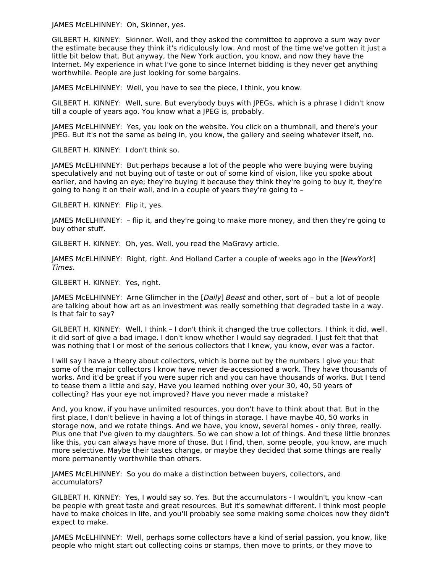JAMES McELHINNEY: Oh, Skinner, yes.

GILBERT H. KINNEY: Skinner. Well, and they asked the committee to approve a sum way over the estimate because they think it's ridiculously low. And most of the time we've gotten it just a little bit below that. But anyway, the New York auction, you know, and now they have the Internet. My experience in what I've gone to since Internet bidding is they never get anything worthwhile. People are just looking for some bargains.

JAMES McELHINNEY: Well, you have to see the piece, I think, you know.

GILBERT H. KINNEY: Well, sure. But everybody buys with JPEGs, which is a phrase I didn't know till a couple of years ago. You know what a JPEG is, probably.

JAMES McELHINNEY: Yes, you look on the website. You click on a thumbnail, and there's your JPEG. But it's not the same as being in, you know, the gallery and seeing whatever itself, no.

GILBERT H. KINNEY: I don't think so.

JAMES McELHINNEY: But perhaps because a lot of the people who were buying were buying speculatively and not buying out of taste or out of some kind of vision, like you spoke about earlier, and having an eye; they're buying it because they think they're going to buy it, they're going to hang it on their wall, and in a couple of years they're going to –

GILBERT H. KINNEY: Flip it, yes.

JAMES McELHINNEY: – flip it, and they're going to make more money, and then they're going to buy other stuff.

GILBERT H. KINNEY: Oh, yes. Well, you read the MaGravy article.

JAMES McELHINNEY: Right, right. And Holland Carter a couple of weeks ago in the [NewYork] Times.

GILBERT H. KINNEY: Yes, right.

JAMES McELHINNEY: Arne Glimcher in the [Daily] Beast and other, sort of – but a lot of people are talking about how art as an investment was really something that degraded taste in a way. Is that fair to say?

GILBERT H. KINNEY: Well, I think – I don't think it changed the true collectors. I think it did, well, it did sort of give a bad image. I don't know whether I would say degraded. I just felt that that was nothing that I or most of the serious collectors that I knew, you know, ever was a factor.

I will say I have a theory about collectors, which is borne out by the numbers I give you: that some of the major collectors I know have never de-accessioned a work. They have thousands of works. And it'd be great if you were super rich and you can have thousands of works. But I tend to tease them a little and say, Have you learned nothing over your 30, 40, 50 years of collecting? Has your eye not improved? Have you never made a mistake?

And, you know, if you have unlimited resources, you don't have to think about that. But in the first place, I don't believe in having a lot of things in storage. I have maybe 40, 50 works in storage now, and we rotate things. And we have, you know, several homes - only three, really. Plus one that I've given to my daughters. So we can show a lot of things. And these little bronzes like this, you can always have more of those. But I find, then, some people, you know, are much more selective. Maybe their tastes change, or maybe they decided that some things are really more permanently worthwhile than others.

JAMES McELHINNEY: So you do make a distinction between buyers, collectors, and accumulators?

GILBERT H. KINNEY: Yes, I would say so. Yes. But the accumulators - I wouldn't, you know -can be people with great taste and great resources. But it's somewhat different. I think most people have to make choices in life, and you'll probably see some making some choices now they didn't expect to make.

JAMES McELHINNEY: Well, perhaps some collectors have a kind of serial passion, you know, like people who might start out collecting coins or stamps, then move to prints, or they move to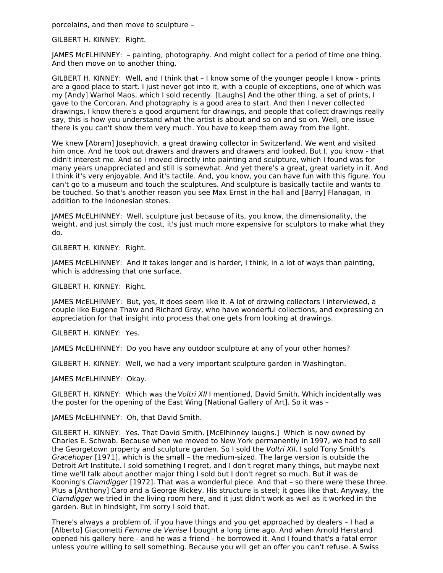porcelains, and then move to sculpture –

GILBERT H. KINNEY: Right.

JAMES McELHINNEY: – painting, photography. And might collect for a period of time one thing. And then move on to another thing.

GILBERT H. KINNEY: Well, and I think that – I know some of the younger people I know - prints are a good place to start. I just never got into it, with a couple of exceptions, one of which was my [Andy] Warhol Maos, which I sold recently. [Laughs] And the other thing, a set of prints, I gave to the Corcoran. And photography is a good area to start. And then I never collected drawings. I know there's a good argument for drawings, and people that collect drawings really say, this is how you understand what the artist is about and so on and so on. Well, one issue there is you can't show them very much. You have to keep them away from the light.

We knew [Abram] Josephovich, a great drawing collector in Switzerland. We went and visited him once. And he took out drawers and drawers and drawers and looked. But I, you know - that didn't interest me. And so I moved directly into painting and sculpture, which I found was for many years unappreciated and still is somewhat. And yet there's a great, great variety in it. And I think it's very enjoyable. And it's tactile. And, you know, you can have fun with this figure. You can't go to a museum and touch the sculptures. And sculpture is basically tactile and wants to be touched. So that's another reason you see Max Ernst in the hall and [Barry] Flanagan, in addition to the Indonesian stones.

JAMES McELHINNEY: Well, sculpture just because of its, you know, the dimensionality, the weight, and just simply the cost, it's just much more expensive for sculptors to make what they do.

GILBERT H. KINNEY: Right.

JAMES McELHINNEY: And it takes longer and is harder, I think, in a lot of ways than painting, which is addressing that one surface.

GILBERT H. KINNEY: Right.

JAMES McELHINNEY: But, yes, it does seem like it. A lot of drawing collectors I interviewed, a couple like Eugene Thaw and Richard Gray, who have wonderful collections, and expressing an appreciation for that insight into process that one gets from looking at drawings.

GILBERT H. KINNEY: Yes.

JAMES McELHINNEY: Do you have any outdoor sculpture at any of your other homes?

GILBERT H. KINNEY: Well, we had a very important sculpture garden in Washington.

JAMES McELHINNEY: Okay.

GILBERT H. KINNEY: Which was the Voltri XII I mentioned, David Smith. Which incidentally was the poster for the opening of the East Wing [National Gallery of Art]. So it was –

JAMES McELHINNEY: Oh, that David Smith.

GILBERT H. KINNEY: Yes. That David Smith. [McElhinney laughs.] Which is now owned by Charles E. Schwab. Because when we moved to New York permanently in 1997, we had to sell the Georgetown property and sculpture garden. So I sold the Voltri XII. I sold Tony Smith's Gracehoper [1971], which is the small – the medium-sized. The large version is outside the Detroit Art Institute. I sold something I regret, and I don't regret many things, but maybe next time we'll talk about another major thing I sold but I don't regret so much. But it was de Kooning's Clamdigger [1972]. That was a wonderful piece. And that – so there were these three. Plus a [Anthony] Caro and a George Rickey. His structure is steel; it goes like that. Anyway, the Clamdigger we tried in the living room here, and it just didn't work as well as it worked in the garden. But in hindsight, I'm sorry I sold that.

There's always a problem of, if you have things and you get approached by dealers – I had a [Alberto] Giacometti Femme de Venise I bought a long time ago. And when Arnold Herstand opened his gallery here - and he was a friend - he borrowed it. And I found that's a fatal error unless you're willing to sell something. Because you will get an offer you can't refuse. A Swiss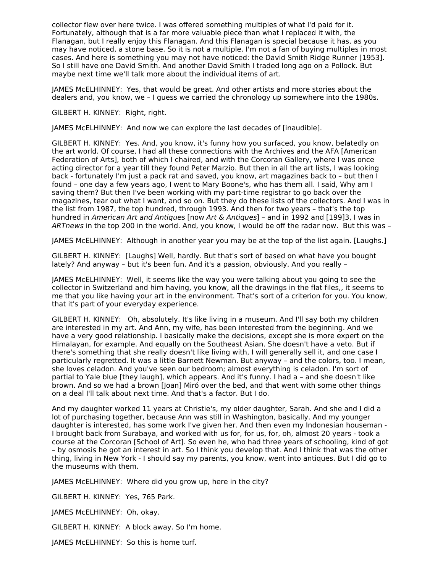collector flew over here twice. I was offered something multiples of what I'd paid for it. Fortunately, although that is a far more valuable piece than what I replaced it with, the Flanagan, but I really enjoy this Flanagan. And this Flanagan is special because it has, as you may have noticed, a stone base. So it is not a multiple. I'm not a fan of buying multiples in most cases. And here is something you may not have noticed: the David Smith Ridge Runner [1953]. So I still have one David Smith. And another David Smith I traded long ago on a Pollock. But maybe next time we'll talk more about the individual items of art.

JAMES McELHINNEY: Yes, that would be great. And other artists and more stories about the dealers and, you know, we – I guess we carried the chronology up somewhere into the 1980s.

GILBERT H. KINNEY: Right, right.

JAMES McELHINNEY: And now we can explore the last decades of [inaudible].

GILBERT H. KINNEY: Yes. And, you know, it's funny how you surfaced, you know, belatedly on the art world. Of course, I had all these connections with the Archives and the AFA [American Federation of Arts], both of which I chaired, and with the Corcoran Gallery, where I was once acting director for a year till they found Peter Marzio. But then in all the art lists, I was looking back - fortunately I'm just a pack rat and saved, you know, art magazines back to – but then I found – one day a few years ago, I went to Mary Boone's, who has them all. I said, Why am I saving them? But then I've been working with my part-time registrar to go back over the magazines, tear out what I want, and so on. But they do these lists of the collectors. And I was in the list from 1987, the top hundred, through 1993. And then for two years – that's the top hundred in American Art and Antiques [now Art & Antiques] - and in 1992 and [199]3, I was in ARTnews in the top 200 in the world. And, you know, I would be off the radar now. But this was –

JAMES McELHINNEY: Although in another year you may be at the top of the list again. [Laughs.]

GILBERT H. KINNEY: [Laughs] Well, hardly. But that's sort of based on what have you bought lately? And anyway – but it's been fun. And it's a passion, obviously. And you really –

JAMES McELHINNEY: Well, it seems like the way you were talking about you going to see the collector in Switzerland and him having, you know, all the drawings in the flat files,, it seems to me that you like having your art in the environment. That's sort of a criterion for you. You know, that it's part of your everyday experience.

GILBERT H. KINNEY: Oh, absolutely. It's like living in a museum. And I'll say both my children are interested in my art. And Ann, my wife, has been interested from the beginning. And we have a very good relationship. I basically make the decisions, except she is more expert on the Himalayan, for example. And equally on the Southeast Asian. She doesn't have a veto. But if there's something that she really doesn't like living with, I will generally sell it, and one case I particularly regretted. It was a little Barnett Newman. But anyway – and the colors, too. I mean, she loves celadon. And you've seen our bedroom; almost everything is celadon. I'm sort of partial to Yale blue [they laugh], which appears. And it's funny. I had a – and she doesn't like brown. And so we had a brown [Joan] Miró over the bed, and that went with some other things on a deal I'll talk about next time. And that's a factor. But I do.

And my daughter worked 11 years at Christie's, my older daughter, Sarah. And she and I did a lot of purchasing together, because Ann was still in Washington, basically. And my younger daughter is interested, has some work I've given her. And then even my Indonesian houseman - I brought back from Surabaya, and worked with us for, for us, for, oh, almost 20 years - took a course at the Corcoran [School of Art]. So even he, who had three years of schooling, kind of got – by osmosis he got an interest in art. So I think you develop that. And I think that was the other thing, living in New York - I should say my parents, you know, went into antiques. But I did go to the museums with them.

JAMES McELHINNEY: Where did you grow up, here in the city?

GILBERT H. KINNEY: Yes, 765 Park.

JAMES McELHINNEY: Oh, okay.

GILBERT H. KINNEY: A block away. So I'm home.

JAMES McELHINNEY: So this is home turf.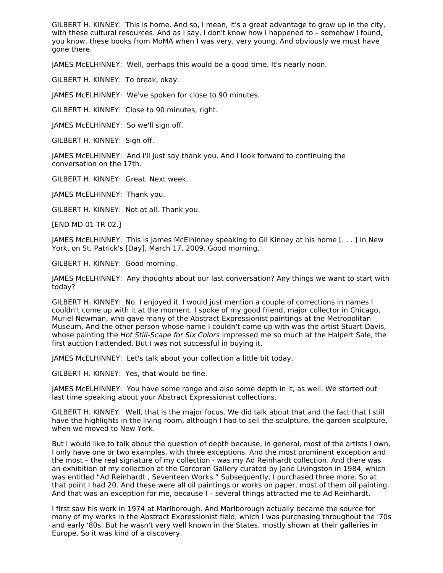GILBERT H. KINNEY: This is home. And so, I mean, it's a great advantage to grow up in the city, with these cultural resources. And as I say, I don't know how I happened to - somehow I found, you know, these books from MoMA when I was very, very young. And obviously we must have gone there.

JAMES McELHINNEY: Well, perhaps this would be a good time. It's nearly noon.

GILBERT H. KINNEY: To break, okay.

JAMES McELHINNEY: We've spoken for close to 90 minutes.

GILBERT H. KINNEY: Close to 90 minutes, right.

JAMES McELHINNEY: So we'll sign off.

GILBERT H. KINNEY: Sign off.

JAMES McELHINNEY: And I'll just say thank you. And I look forward to continuing the conversation on the 17th.

GILBERT H. KINNEY: Great. Next week.

JAMES McELHINNEY: Thank you.

GILBERT H. KINNEY: Not at all. Thank you.

[END MD 01 TR 02.]

JAMES McELHINNEY: This is James McElhinney speaking to Gil Kinney at his home [. . . ] in New York, on St. Patrick's [Day], March 17, 2009. Good morning.

GILBERT H. KINNEY: Good morning.

JAMES McELHINNEY: Any thoughts about our last conversation? Any things we want to start with today?

GILBERT H. KINNEY: No. I enjoyed it. I would just mention a couple of corrections in names I couldn't come up with it at the moment. I spoke of my good friend, major collector in Chicago, Muriel Newman, who gave many of the Abstract Expressionist paintings at the Metropolitan Museum. And the other person whose name I couldn't come up with was the artist Stuart Davis, whose painting the Hot Still-Scape for Six Colors impressed me so much at the Halpert Sale, the first auction I attended. But I was not successful in buying it.

JAMES McELHINNEY: Let's talk about your collection a little bit today.

GILBERT H. KINNEY: Yes, that would be fine.

JAMES McELHINNEY: You have some range and also some depth in it, as well. We started out last time speaking about your Abstract Expressionist collections.

GILBERT H. KINNEY: Well, that is the major focus. We did talk about that and the fact that I still have the highlights in the living room, although I had to sell the sculpture, the garden sculpture, when we moved to New York.

But I would like to talk about the question of depth because, in general, most of the artists I own, I only have one or two examples, with three exceptions. And the most prominent exception and the most – the real signature of my collection - was my Ad Reinhardt collection. And there was an exhibition of my collection at the Corcoran Gallery curated by Jane Livingston in 1984, which was entitled "Ad Reinhardt , Seventeen Works." Subsequently, I purchased three more. So at that point I had 20. And these were all oil paintings or works on paper, most of them oil painting. And that was an exception for me, because I – several things attracted me to Ad Reinhardt.

I first saw his work in 1974 at Marlborough. And Marlborough actually became the source for many of my works in the Abstract Expressionist field, which I was purchasing throughout the '70s and early '80s. But he wasn't very well known in the States, mostly shown at their galleries in Europe. So it was kind of a discovery.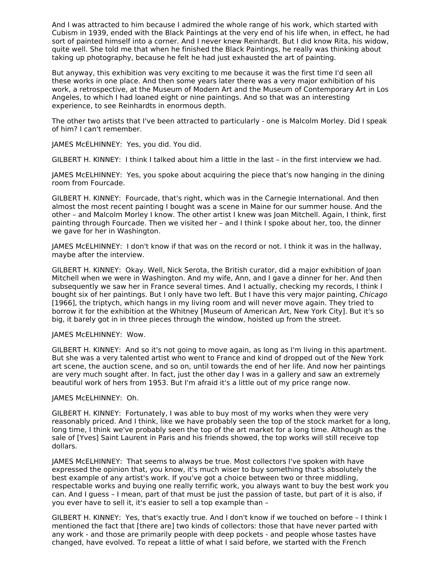And I was attracted to him because I admired the whole range of his work, which started with Cubism in 1939, ended with the Black Paintings at the very end of his life when, in effect, he had sort of painted himself into a corner. And I never knew Reinhardt. But I did know Rita, his widow, quite well. She told me that when he finished the Black Paintings, he really was thinking about taking up photography, because he felt he had just exhausted the art of painting.

But anyway, this exhibition was very exciting to me because it was the first time I'd seen all these works in one place. And then some years later there was a very major exhibition of his work, a retrospective, at the Museum of Modern Art and the Museum of Contemporary Art in Los Angeles, to which I had loaned eight or nine paintings. And so that was an interesting experience, to see Reinhardts in enormous depth.

The other two artists that I've been attracted to particularly - one is Malcolm Morley. Did I speak of him? I can't remember.

JAMES McELHINNEY: Yes, you did. You did.

GILBERT H. KINNEY: I think I talked about him a little in the last – in the first interview we had.

JAMES McELHINNEY: Yes, you spoke about acquiring the piece that's now hanging in the dining room from Fourcade.

GILBERT H. KINNEY: Fourcade, that's right, which was in the Carnegie International. And then almost the most recent painting I bought was a scene in Maine for our summer house. And the other – and Malcolm Morley I know. The other artist I knew was Joan Mitchell. Again, I think, first painting through Fourcade. Then we visited her – and I think I spoke about her, too, the dinner we gave for her in Washington.

JAMES McELHINNEY: I don't know if that was on the record or not. I think it was in the hallway, maybe after the interview.

GILBERT H. KINNEY: Okay. Well, Nick Serota, the British curator, did a major exhibition of Joan Mitchell when we were in Washington. And my wife, Ann, and I gave a dinner for her. And then subsequently we saw her in France several times. And I actually, checking my records, I think I bought six of her paintings. But I only have two left. But I have this very major painting, Chicago [1966], the triptych, which hangs in my living room and will never move again. They tried to borrow it for the exhibition at the Whitney [Museum of American Art, New York City]. But it's so big, it barely got in in three pieces through the window, hoisted up from the street.

#### JAMES McELHINNEY: Wow.

GILBERT H. KINNEY: And so it's not going to move again, as long as I'm living in this apartment. But she was a very talented artist who went to France and kind of dropped out of the New York art scene, the auction scene, and so on, until towards the end of her life. And now her paintings are very much sought after. In fact, just the other day I was in a gallery and saw an extremely beautiful work of hers from 1953. But I'm afraid it's a little out of my price range now.

#### JAMES McELHINNEY: Oh.

GILBERT H. KINNEY: Fortunately, I was able to buy most of my works when they were very reasonably priced. And I think, like we have probably seen the top of the stock market for a long, long time, I think we've probably seen the top of the art market for a long time. Although as the sale of [Yves] Saint Laurent in Paris and his friends showed, the top works will still receive top dollars.

JAMES McELHINNEY: That seems to always be true. Most collectors I've spoken with have expressed the opinion that, you know, it's much wiser to buy something that's absolutely the best example of any artist's work. If you've got a choice between two or three middling, respectable works and buying one really terrific work, you always want to buy the best work you can. And I guess – I mean, part of that must be just the passion of taste, but part of it is also, if you ever have to sell it, it's easier to sell a top example than –

GILBERT H. KINNEY: Yes, that's exactly true. And I don't know if we touched on before – I think I mentioned the fact that [there are] two kinds of collectors: those that have never parted with any work - and those are primarily people with deep pockets - and people whose tastes have changed, have evolved. To repeat a little of what I said before, we started with the French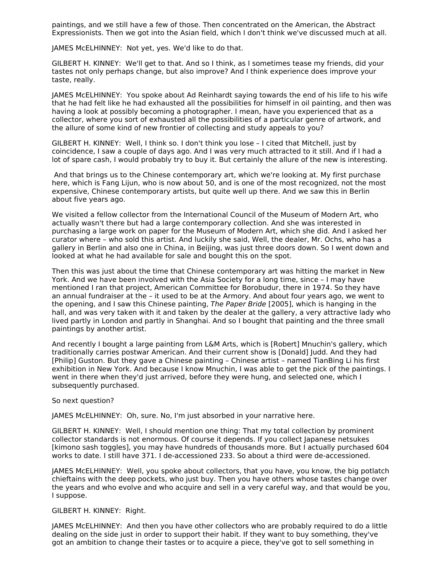paintings, and we still have a few of those. Then concentrated on the American, the Abstract Expressionists. Then we got into the Asian field, which I don't think we've discussed much at all.

JAMES McELHINNEY: Not yet, yes. We'd like to do that.

GILBERT H. KINNEY: We'll get to that. And so I think, as I sometimes tease my friends, did your tastes not only perhaps change, but also improve? And I think experience does improve your taste, really.

JAMES McELHINNEY: You spoke about Ad Reinhardt saying towards the end of his life to his wife that he had felt like he had exhausted all the possibilities for himself in oil painting, and then was having a look at possibly becoming a photographer. I mean, have you experienced that as a collector, where you sort of exhausted all the possibilities of a particular genre of artwork, and the allure of some kind of new frontier of collecting and study appeals to you?

GILBERT H. KINNEY: Well, I think so. I don't think you lose – I cited that Mitchell, just by coincidence, I saw a couple of days ago. And I was very much attracted to it still. And if I had a lot of spare cash, I would probably try to buy it. But certainly the allure of the new is interesting.

And that brings us to the Chinese contemporary art, which we're looking at. My first purchase here, which is Fang Lijun, who is now about 50, and is one of the most recognized, not the most expensive, Chinese contemporary artists, but quite well up there. And we saw this in Berlin about five years ago.

We visited a fellow collector from the International Council of the Museum of Modern Art, who actually wasn't there but had a large contemporary collection. And she was interested in purchasing a large work on paper for the Museum of Modern Art, which she did. And I asked her curator where – who sold this artist. And luckily she said, Well, the dealer, Mr. Ochs, who has a gallery in Berlin and also one in China, in Beijing, was just three doors down. So I went down and looked at what he had available for sale and bought this on the spot.

Then this was just about the time that Chinese contemporary art was hitting the market in New York. And we have been involved with the Asia Society for a long time, since – I may have mentioned I ran that project, American Committee for Borobudur, there in 1974. So they have an annual fundraiser at the – it used to be at the Armory. And about four years ago, we went to the opening, and I saw this Chinese painting, The Paper Bride [2005], which is hanging in the hall, and was very taken with it and taken by the dealer at the gallery, a very attractive lady who lived partly in London and partly in Shanghai. And so I bought that painting and the three small paintings by another artist.

And recently I bought a large painting from L&M Arts, which is [Robert] Mnuchin's gallery, which traditionally carries postwar American. And their current show is [Donald] Judd. And they had [Philip] Guston. But they gave a Chinese painting – Chinese artist – named TianBing Li his first exhibition in New York. And because I know Mnuchin, I was able to get the pick of the paintings. I went in there when they'd just arrived, before they were hung, and selected one, which I subsequently purchased.

#### So next question?

JAMES McELHINNEY: Oh, sure. No, I'm just absorbed in your narrative here.

GILBERT H. KINNEY: Well, I should mention one thing: That my total collection by prominent collector standards is not enormous. Of course it depends. If you collect Japanese netsukes [kimono sash toggles], you may have hundreds of thousands more. But I actually purchased 604 works to date. I still have 371. I de-accessioned 233. So about a third were de-accessioned.

JAMES McELHINNEY: Well, you spoke about collectors, that you have, you know, the big potlatch chieftains with the deep pockets, who just buy. Then you have others whose tastes change over the years and who evolve and who acquire and sell in a very careful way, and that would be you, I suppose.

#### GILBERT H. KINNEY: Right.

JAMES McELHINNEY: And then you have other collectors who are probably required to do a little dealing on the side just in order to support their habit. If they want to buy something, they've got an ambition to change their tastes or to acquire a piece, they've got to sell something in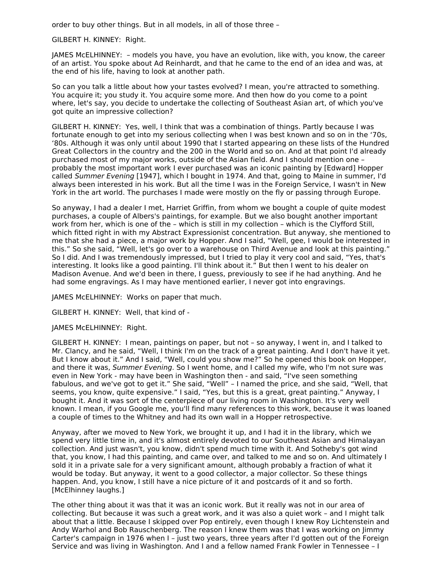order to buy other things. But in all models, in all of those three –

#### GILBERT H. KINNEY: Right.

JAMES McELHINNEY: – models you have, you have an evolution, like with, you know, the career of an artist. You spoke about Ad Reinhardt, and that he came to the end of an idea and was, at the end of his life, having to look at another path.

So can you talk a little about how your tastes evolved? I mean, you're attracted to something. You acquire it; you study it. You acquire some more. And then how do you come to a point where, let's say, you decide to undertake the collecting of Southeast Asian art, of which you've got quite an impressive collection?

GILBERT H. KINNEY: Yes, well, I think that was a combination of things. Partly because I was fortunate enough to get into my serious collecting when I was best known and so on in the '70s, '80s. Although it was only until about 1990 that I started appearing on these lists of the Hundred Great Collectors in the country and the 200 in the World and so on. And at that point I'd already purchased most of my major works, outside of the Asian field. And I should mention one – probably the most important work I ever purchased was an iconic painting by [Edward] Hopper called Summer Evening [1947], which I bought in 1974. And that, going to Maine in summer, I'd always been interested in his work. But all the time I was in the Foreign Service, I wasn't in New York in the art world. The purchases I made were mostly on the fly or passing through Europe.

So anyway, I had a dealer I met, Harriet Griffin, from whom we bought a couple of quite modest purchases, a couple of Albers's paintings, for example. But we also bought another important work from her, which is one of the – which is still in my collection – which is the Clyfford Still, which fitted right in with my Abstract Expressionist concentration. But anyway, she mentioned to me that she had a piece, a major work by Hopper. And I said, "Well, gee, I would be interested in this." So she said, "Well, let's go over to a warehouse on Third Avenue and look at this painting." So I did. And I was tremendously impressed, but I tried to play it very cool and said, "Yes, that's interesting. It looks like a good painting. I'll think about it." But then I went to his dealer on Madison Avenue. And we'd been in there, I guess, previously to see if he had anything. And he had some engravings. As I may have mentioned earlier, I never got into engravings.

JAMES McELHINNEY: Works on paper that much.

GILBERT H. KINNEY: Well, that kind of -

JAMES McELHINNEY: Right.

GILBERT H. KINNEY: I mean, paintings on paper, but not – so anyway, I went in, and I talked to Mr. Clancy, and he said, "Well, I think I'm on the track of a great painting. And I don't have it yet. But I know about it." And I said, "Well, could you show me?" So he opened this book on Hopper, and there it was, Summer Evening. So I went home, and I called my wife, who I'm not sure was even in New York - may have been in Washington then - and said, "I've seen something fabulous, and we've got to get it." She said, "Well" – I named the price, and she said, "Well, that seems, you know, quite expensive." I said, "Yes, but this is a great, great painting." Anyway, I bought it. And it was sort of the centerpiece of our living room in Washington. It's very well known. I mean, if you Google me, you'll find many references to this work, because it was loaned a couple of times to the Whitney and had its own wall in a Hopper retrospective.

Anyway, after we moved to New York, we brought it up, and I had it in the library, which we spend very little time in, and it's almost entirely devoted to our Southeast Asian and Himalayan collection. And just wasn't, you know, didn't spend much time with it. And Sotheby's got wind that, you know, I had this painting, and came over, and talked to me and so on. And ultimately I sold it in a private sale for a very significant amount, although probably a fraction of what it would be today. But anyway, it went to a good collector, a major collector. So these things happen. And, you know, I still have a nice picture of it and postcards of it and so forth. [McElhinney laughs.]

The other thing about it was that it was an iconic work. But it really was not in our area of collecting. But because it was such a great work, and it was also a quiet work – and I might talk about that a little. Because I skipped over Pop entirely, even though I knew Roy Lichtenstein and Andy Warhol and Bob Rauschenberg. The reason I knew them was that I was working on Jimmy Carter's campaign in 1976 when I – just two years, three years after I'd gotten out of the Foreign Service and was living in Washington. And I and a fellow named Frank Fowler in Tennessee – I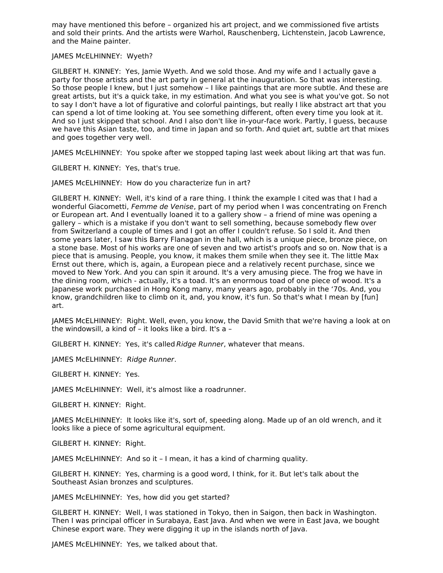may have mentioned this before – organized his art project, and we commissioned five artists and sold their prints. And the artists were Warhol, Rauschenberg, Lichtenstein, Jacob Lawrence, and the Maine painter.

#### JAMES McELHINNEY: Wyeth?

GILBERT H. KINNEY: Yes, Jamie Wyeth. And we sold those. And my wife and I actually gave a party for those artists and the art party in general at the inauguration. So that was interesting. So those people I knew, but I just somehow – I like paintings that are more subtle. And these are great artists, but it's a quick take, in my estimation. And what you see is what you've got. So not to say I don't have a lot of figurative and colorful paintings, but really I like abstract art that you can spend a lot of time looking at. You see something different, often every time you look at it. And so I just skipped that school. And I also don't like in-your-face work. Partly, I guess, because we have this Asian taste, too, and time in Japan and so forth. And quiet art, subtle art that mixes and goes together very well.

JAMES McELHINNEY: You spoke after we stopped taping last week about liking art that was fun.

GILBERT H. KINNEY: Yes, that's true.

JAMES McELHINNEY: How do you characterize fun in art?

GILBERT H. KINNEY: Well, it's kind of a rare thing. I think the example I cited was that I had a wonderful Giacometti, Femme de Venise, part of my period when I was concentrating on French or European art. And I eventually loaned it to a gallery show – a friend of mine was opening a gallery – which is a mistake if you don't want to sell something, because somebody flew over from Switzerland a couple of times and I got an offer I couldn't refuse. So I sold it. And then some years later, I saw this Barry Flanagan in the hall, which is a unique piece, bronze piece, on a stone base. Most of his works are one of seven and two artist's proofs and so on. Now that is a piece that is amusing. People, you know, it makes them smile when they see it. The little Max Ernst out there, which is, again, a European piece and a relatively recent purchase, since we moved to New York. And you can spin it around. It's a very amusing piece. The frog we have in the dining room, which - actually, it's a toad. It's an enormous toad of one piece of wood. It's a Japanese work purchased in Hong Kong many, many years ago, probably in the '70s. And, you know, grandchildren like to climb on it, and, you know, it's fun. So that's what I mean by [fun] art.

JAMES McELHINNEY: Right. Well, even, you know, the David Smith that we're having a look at on the windowsill, a kind of – it looks like a bird. It's a –

GILBERT H. KINNEY: Yes, it's called Ridge Runner, whatever that means.

JAMES McELHINNEY: Ridge Runner.

GILBERT H. KINNEY: Yes.

JAMES McELHINNEY: Well, it's almost like a roadrunner.

GILBERT H. KINNEY: Right.

JAMES McELHINNEY: It looks like it's, sort of, speeding along. Made up of an old wrench, and it looks like a piece of some agricultural equipment.

GILBERT H. KINNEY: Right.

JAMES McELHINNEY: And so it – I mean, it has a kind of charming quality.

GILBERT H. KINNEY: Yes, charming is a good word, I think, for it. But let's talk about the Southeast Asian bronzes and sculptures.

JAMES McELHINNEY: Yes, how did you get started?

GILBERT H. KINNEY: Well, I was stationed in Tokyo, then in Saigon, then back in Washington. Then I was principal officer in Surabaya, East Java. And when we were in East Java, we bought Chinese export ware. They were digging it up in the islands north of Java.

JAMES McELHINNEY: Yes, we talked about that.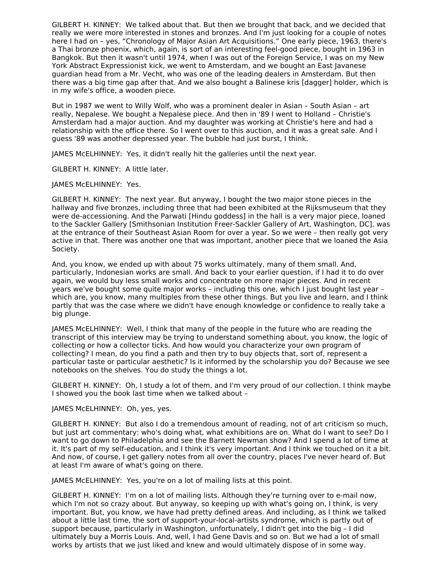GILBERT H. KINNEY: We talked about that. But then we brought that back, and we decided that really we were more interested in stones and bronzes. And I'm just looking for a couple of notes here I had on – yes, "Chronology of Major Asian Art Acquisitions." One early piece, 1963, there's a Thai bronze phoenix, which, again, is sort of an interesting feel-good piece, bought in 1963 in Bangkok. But then it wasn't until 1974, when I was out of the Foreign Service, I was on my New York Abstract Expressionist kick, we went to Amsterdam, and we bought an East Javanese guardian head from a Mr. Vecht, who was one of the leading dealers in Amsterdam. But then there was a big time gap after that. And we also bought a Balinese kris [dagger] holder, which is in my wife's office, a wooden piece.

But in 1987 we went to Willy Wolf, who was a prominent dealer in Asian – South Asian – art really, Nepalese. We bought a Nepalese piece. And then in '89 I went to Holland – Christie's Amsterdam had a major auction. And my daughter was working at Christie's here and had a relationship with the office there. So I went over to this auction, and it was a great sale. And I guess '89 was another depressed year. The bubble had just burst, I think.

JAMES McELHINNEY: Yes, it didn't really hit the galleries until the next year.

GILBERT H. KINNEY: A little later.

JAMES McELHINNEY: Yes.

GILBERT H. KINNEY: The next year. But anyway, I bought the two major stone pieces in the hallway and five bronzes, including three that had been exhibited at the Rijksmuseum that they were de-accessioning. And the Parwati [Hindu goddess] in the hall is a very major piece, loaned to the Sackler Gallery [Smithsonian Institution Freer-Sackler Gallery of Art, Washington, DC], was at the entrance of their Southeast Asian Room for over a year. So we were – then really got very active in that. There was another one that was important, another piece that we loaned the Asia Society.

And, you know, we ended up with about 75 works ultimately, many of them small. And, particularly, Indonesian works are small. And back to your earlier question, if I had it to do over again, we would buy less small works and concentrate on more major pieces. And in recent years we've bought some quite major works – including this one, which I just bought last year – which are, you know, many multiples from these other things. But you live and learn, and I think partly that was the case where we didn't have enough knowledge or confidence to really take a big plunge.

JAMES McELHINNEY: Well, I think that many of the people in the future who are reading the transcript of this interview may be trying to understand something about, you know, the logic of collecting or how a collector ticks. And how would you characterize your own program of collecting? I mean, do you find a path and then try to buy objects that, sort of, represent a particular taste or particular aesthetic? Is it informed by the scholarship you do? Because we see notebooks on the shelves. You do study the things a lot.

GILBERT H. KINNEY: Oh, I study a lot of them, and I'm very proud of our collection. I think maybe I showed you the book last time when we talked about –

#### JAMES McELHINNEY: Oh, yes, yes.

GILBERT H. KINNEY: But also I do a tremendous amount of reading, not of art criticism so much, but just art commentary: who's doing what, what exhibitions are on. What do I want to see? Do I want to go down to Philadelphia and see the Barnett Newman show? And I spend a lot of time at it. It's part of my self-education, and I think it's very important. And I think we touched on it a bit. And now, of course, I get gallery notes from all over the country, places I've never heard of. But at least I'm aware of what's going on there.

JAMES McELHINNEY: Yes, you're on a lot of mailing lists at this point.

GILBERT H. KINNEY: I'm on a lot of mailing lists. Although they're turning over to e-mail now, which I'm not so crazy about. But anyway, so keeping up with what's going on, I think, is very important. But, you know, we have had pretty defined areas. And including, as I think we talked about a little last time, the sort of support-your-local-artists syndrome, which is partly out of support because, particularly in Washington, unfortunately, I didn't get into the big – I did ultimately buy a Morris Louis. And, well, I had Gene Davis and so on. But we had a lot of small works by artists that we just liked and knew and would ultimately dispose of in some way.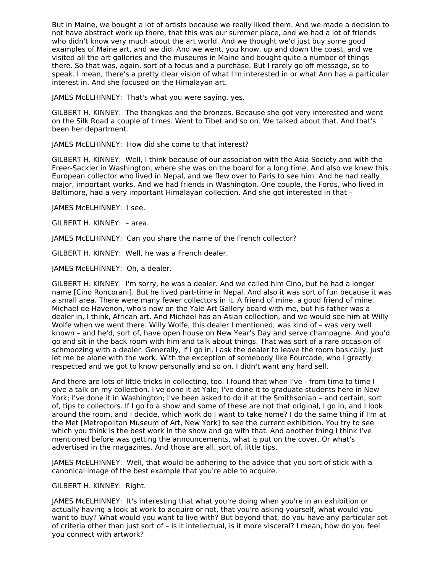But in Maine, we bought a lot of artists because we really liked them. And we made a decision to not have abstract work up there, that this was our summer place, and we had a lot of friends who didn't know very much about the art world. And we thought we'd just buy some good examples of Maine art, and we did. And we went, you know, up and down the coast, and we visited all the art galleries and the museums in Maine and bought quite a number of things there. So that was, again, sort of a focus and a purchase. But I rarely go off message, so to speak. I mean, there's a pretty clear vision of what I'm interested in or what Ann has a particular interest in. And she focused on the Himalayan art.

JAMES McELHINNEY: That's what you were saying, yes.

GILBERT H. KINNEY: The thangkas and the bronzes. Because she got very interested and went on the Silk Road a couple of times. Went to Tibet and so on. We talked about that. And that's been her department.

JAMES McELHINNEY: How did she come to that interest?

GILBERT H. KINNEY: Well, I think because of our association with the Asia Society and with the Freer-Sackler in Washington, where she was on the board for a long time. And also we knew this European collector who lived in Nepal, and we flew over to Paris to see him. And he had really major, important works. And we had friends in Washington. One couple, the Fords, who lived in Baltimore, had a very important Himalayan collection. And she got interested in that –

JAMES McELHINNEY: I see.

GILBERT H. KINNEY: – area.

JAMES McELHINNEY: Can you share the name of the French collector?

GILBERT H. KINNEY: Well, he was a French dealer.

JAMES McELHINNEY: Oh, a dealer.

GILBERT H. KINNEY: I'm sorry, he was a dealer. And we called him Cino, but he had a longer name [Cino Roncorani]. But he lived part-time in Nepal. And also it was sort of fun because it was a small area. There were many fewer collectors in it. A friend of mine, a good friend of mine, Michael de Havenon, who's now on the Yale Art Gallery board with me, but his father was a dealer in, I think, African art. And Michael has an Asian collection, and we would see him at Willy Wolfe when we went there. Willy Wolfe, this dealer I mentioned, was kind of – was very well known – and he'd, sort of, have open house on New Year's Day and serve champagne. And you'd go and sit in the back room with him and talk about things. That was sort of a rare occasion of schmoozing with a dealer. Generally, if I go in, I ask the dealer to leave the room basically, just let me be alone with the work. With the exception of somebody like Fourcade, who I greatly respected and we got to know personally and so on. I didn't want any hard sell.

And there are lots of little tricks in collecting, too. I found that when I've - from time to time I give a talk on my collection. I've done it at Yale; I've done it to graduate students here in New York; I've done it in Washington; I've been asked to do it at the Smithsonian – and certain, sort of, tips to collectors. If I go to a show and some of these are not that original, I go in, and I look around the room, and I decide, which work do I want to take home? I do the same thing if I'm at the Met [Metropolitan Museum of Art, New York] to see the current exhibition. You try to see which you think is the best work in the show and go with that. And another thing I think I've mentioned before was getting the announcements, what is put on the cover. Or what's advertised in the magazines. And those are all, sort of, little tips.

JAMES McELHINNEY: Well, that would be adhering to the advice that you sort of stick with a canonical image of the best example that you're able to acquire.

GILBERT H. KINNEY: Right.

JAMES McELHINNEY: It's interesting that what you're doing when you're in an exhibition or actually having a look at work to acquire or not, that you're asking yourself, what would you want to buy? What would you want to live with? But beyond that, do you have any particular set of criteria other than just sort of – is it intellectual, is it more visceral? I mean, how do you feel you connect with artwork?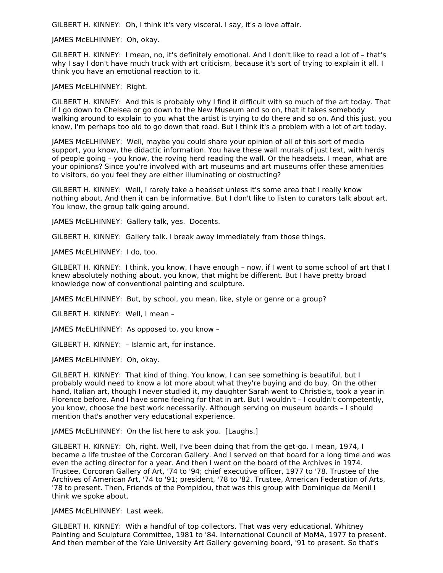GILBERT H. KINNEY: Oh, I think it's very visceral. I say, it's a love affair.

JAMES McELHINNEY: Oh, okay.

GILBERT H. KINNEY: I mean, no, it's definitely emotional. And I don't like to read a lot of – that's why I say I don't have much truck with art criticism, because it's sort of trying to explain it all. I think you have an emotional reaction to it.

JAMES McELHINNEY: Right.

GILBERT H. KINNEY: And this is probably why I find it difficult with so much of the art today. That if I go down to Chelsea or go down to the New Museum and so on, that it takes somebody walking around to explain to you what the artist is trying to do there and so on. And this just, you know, I'm perhaps too old to go down that road. But I think it's a problem with a lot of art today.

JAMES McELHINNEY: Well, maybe you could share your opinion of all of this sort of media support, you know, the didactic information. You have these wall murals of just text, with herds of people going – you know, the roving herd reading the wall. Or the headsets. I mean, what are your opinions? Since you're involved with art museums and art museums offer these amenities to visitors, do you feel they are either illuminating or obstructing?

GILBERT H. KINNEY: Well, I rarely take a headset unless it's some area that I really know nothing about. And then it can be informative. But I don't like to listen to curators talk about art. You know, the group talk going around.

JAMES McELHINNEY: Gallery talk, yes. Docents.

GILBERT H. KINNEY: Gallery talk. I break away immediately from those things.

JAMES McELHINNEY: I do, too.

GILBERT H. KINNEY: I think, you know, I have enough – now, if I went to some school of art that I knew absolutely nothing about, you know, that might be different. But I have pretty broad knowledge now of conventional painting and sculpture.

JAMES McELHINNEY: But, by school, you mean, like, style or genre or a group?

GILBERT H. KINNEY: Well, I mean –

JAMES McELHINNEY: As opposed to, you know –

GILBERT H. KINNEY: – Islamic art, for instance.

JAMES McELHINNEY: Oh, okay.

GILBERT H. KINNEY: That kind of thing. You know, I can see something is beautiful, but I probably would need to know a lot more about what they're buying and do buy. On the other hand, Italian art, though I never studied it, my daughter Sarah went to Christie's, took a year in Florence before. And I have some feeling for that in art. But I wouldn't – I couldn't competently, you know, choose the best work necessarily. Although serving on museum boards – I should mention that's another very educational experience.

JAMES McELHINNEY: On the list here to ask you. [Laughs.]

GILBERT H. KINNEY: Oh, right. Well, I've been doing that from the get-go. I mean, 1974, I became a life trustee of the Corcoran Gallery. And I served on that board for a long time and was even the acting director for a year. And then I went on the board of the Archives in 1974. Trustee, Corcoran Gallery of Art, '74 to '94; chief executive officer, 1977 to '78. Trustee of the Archives of American Art, '74 to '91; president, '78 to '82. Trustee, American Federation of Arts, '78 to present. Then, Friends of the Pompidou, that was this group with Dominique de Menil I think we spoke about.

JAMES McELHINNEY: Last week.

GILBERT H. KINNEY: With a handful of top collectors. That was very educational. Whitney Painting and Sculpture Committee, 1981 to '84. International Council of MoMA, 1977 to present. And then member of the Yale University Art Gallery governing board, '91 to present. So that's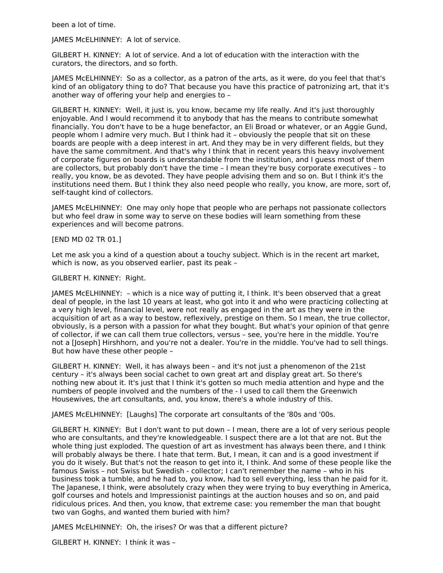been a lot of time.

JAMES McELHINNEY: A lot of service.

GILBERT H. KINNEY: A lot of service. And a lot of education with the interaction with the curators, the directors, and so forth.

JAMES McELHINNEY: So as a collector, as a patron of the arts, as it were, do you feel that that's kind of an obligatory thing to do? That because you have this practice of patronizing art, that it's another way of offering your help and energies to –

GILBERT H. KINNEY: Well, it just is, you know, became my life really. And it's just thoroughly enjoyable. And I would recommend it to anybody that has the means to contribute somewhat financially. You don't have to be a huge benefactor, an Eli Broad or whatever, or an Aggie Gund, people whom I admire very much. But I think had it – obviously the people that sit on these boards are people with a deep interest in art. And they may be in very different fields, but they have the same commitment. And that's why I think that in recent years this heavy involvement of corporate figures on boards is understandable from the institution, and I guess most of them are collectors, but probably don't have the time – I mean they're busy corporate executives – to really, you know, be as devoted. They have people advising them and so on. But I think it's the institutions need them. But I think they also need people who really, you know, are more, sort of, self-taught kind of collectors.

JAMES McELHINNEY: One may only hope that people who are perhaps not passionate collectors but who feel draw in some way to serve on these bodies will learn something from these experiences and will become patrons.

#### [END MD 02 TR 01.]

Let me ask you a kind of a question about a touchy subject. Which is in the recent art market, which is now, as you observed earlier, past its peak –

#### GILBERT H. KINNEY: Right.

JAMES McELHINNEY: – which is a nice way of putting it, I think. It's been observed that a great deal of people, in the last 10 years at least, who got into it and who were practicing collecting at a very high level, financial level, were not really as engaged in the art as they were in the acquisition of art as a way to bestow, reflexively, prestige on them. So I mean, the true collector, obviously, is a person with a passion for what they bought. But what's your opinion of that genre of collector, if we can call them true collectors, versus – see, you're here in the middle. You're not a [Joseph] Hirshhorn, and you're not a dealer. You're in the middle. You've had to sell things. But how have these other people –

GILBERT H. KINNEY: Well, it has always been – and it's not just a phenomenon of the 21st century – it's always been social cachet to own great art and display great art. So there's nothing new about it. It's just that I think it's gotten so much media attention and hype and the numbers of people involved and the numbers of the - I used to call them the Greenwich Housewives, the art consultants, and, you know, there's a whole industry of this.

JAMES McELHINNEY: [Laughs] The corporate art consultants of the '80s and '00s.

GILBERT H. KINNEY: But I don't want to put down – I mean, there are a lot of very serious people who are consultants, and they're knowledgeable. I suspect there are a lot that are not. But the whole thing just exploded. The question of art as investment has always been there, and I think will probably always be there. I hate that term. But, I mean, it can and is a good investment if you do it wisely. But that's not the reason to get into it, I think. And some of these people like the famous Swiss – not Swiss but Swedish - collector; I can't remember the name – who in his business took a tumble, and he had to, you know, had to sell everything, less than he paid for it. The Japanese, I think, were absolutely crazy when they were trying to buy everything in America, golf courses and hotels and Impressionist paintings at the auction houses and so on, and paid ridiculous prices. And then, you know, that extreme case: you remember the man that bought two van Goghs, and wanted them buried with him?

JAMES McELHINNEY: Oh, the irises? Or was that a different picture?

GILBERT H. KINNEY: I think it was –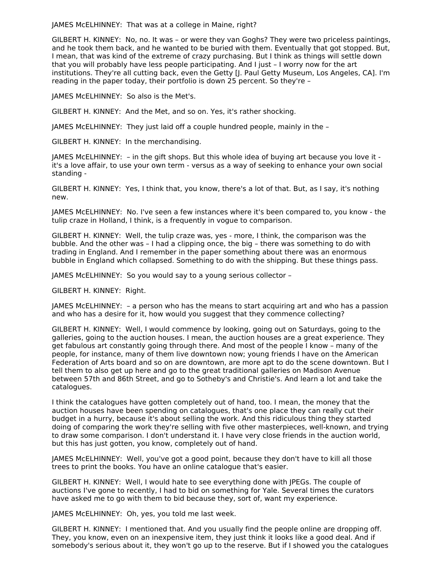JAMES McELHINNEY: That was at a college in Maine, right?

GILBERT H. KINNEY: No, no. It was – or were they van Goghs? They were two priceless paintings, and he took them back, and he wanted to be buried with them. Eventually that got stopped. But, I mean, that was kind of the extreme of crazy purchasing. But I think as things will settle down that you will probably have less people participating. And I just – I worry now for the art institutions. They're all cutting back, even the Getty [J. Paul Getty Museum, Los Angeles, CA]. I'm reading in the paper today, their portfolio is down 25 percent. So they're –

JAMES McELHINNEY: So also is the Met's.

GILBERT H. KINNEY: And the Met, and so on. Yes, it's rather shocking.

JAMES McELHINNEY: They just laid off a couple hundred people, mainly in the –

GILBERT H. KINNEY: In the merchandising.

JAMES McELHINNEY: – in the gift shops. But this whole idea of buying art because you love it it's a love affair, to use your own term - versus as a way of seeking to enhance your own social standing -

GILBERT H. KINNEY: Yes, I think that, you know, there's a lot of that. But, as I say, it's nothing new.

JAMES McELHINNEY: No. I've seen a few instances where it's been compared to, you know - the tulip craze in Holland, I think, is a frequently in vogue to comparison.

GILBERT H. KINNEY: Well, the tulip craze was, yes - more, I think, the comparison was the bubble. And the other was – I had a clipping once, the big – there was something to do with trading in England. And I remember in the paper something about there was an enormous bubble in England which collapsed. Something to do with the shipping. But these things pass.

JAMES McELHINNEY: So you would say to a young serious collector –

GILBERT H. KINNEY: Right.

JAMES McELHINNEY: – a person who has the means to start acquiring art and who has a passion and who has a desire for it, how would you suggest that they commence collecting?

GILBERT H. KINNEY: Well, I would commence by looking, going out on Saturdays, going to the galleries, going to the auction houses. I mean, the auction houses are a great experience. They get fabulous art constantly going through there. And most of the people I know – many of the people, for instance, many of them live downtown now; young friends I have on the American Federation of Arts board and so on are downtown, are more apt to do the scene downtown. But I tell them to also get up here and go to the great traditional galleries on Madison Avenue between 57th and 86th Street, and go to Sotheby's and Christie's. And learn a lot and take the catalogues.

I think the catalogues have gotten completely out of hand, too. I mean, the money that the auction houses have been spending on catalogues, that's one place they can really cut their budget in a hurry, because it's about selling the work. And this ridiculous thing they started doing of comparing the work they're selling with five other masterpieces, well-known, and trying to draw some comparison. I don't understand it. I have very close friends in the auction world, but this has just gotten, you know, completely out of hand.

JAMES McELHINNEY: Well, you've got a good point, because they don't have to kill all those trees to print the books. You have an online catalogue that's easier.

GILBERT H. KINNEY: Well, I would hate to see everything done with JPEGs. The couple of auctions I've gone to recently, I had to bid on something for Yale. Several times the curators have asked me to go with them to bid because they, sort of, want my experience.

JAMES McELHINNEY: Oh, yes, you told me last week.

GILBERT H. KINNEY: I mentioned that. And you usually find the people online are dropping off. They, you know, even on an inexpensive item, they just think it looks like a good deal. And if somebody's serious about it, they won't go up to the reserve. But if I showed you the catalogues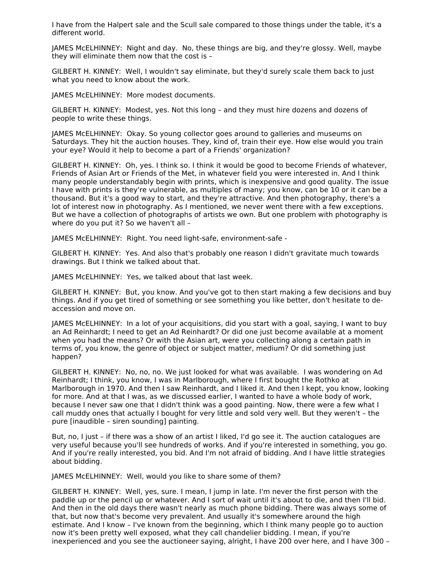I have from the Halpert sale and the Scull sale compared to those things under the table, it's a different world.

JAMES McELHINNEY: Night and day. No, these things are big, and they're glossy. Well, maybe they will eliminate them now that the cost is –

GILBERT H. KINNEY: Well, I wouldn't say eliminate, but they'd surely scale them back to just what you need to know about the work.

JAMES McELHINNEY: More modest documents.

GILBERT H. KINNEY: Modest, yes. Not this long – and they must hire dozens and dozens of people to write these things.

JAMES McELHINNEY: Okay. So young collector goes around to galleries and museums on Saturdays. They hit the auction houses. They, kind of, train their eye. How else would you train your eye? Would it help to become a part of a Friends' organization?

GILBERT H. KINNEY: Oh, yes. I think so. I think it would be good to become Friends of whatever, Friends of Asian Art or Friends of the Met, in whatever field you were interested in. And I think many people understandably begin with prints, which is inexpensive and good quality. The issue I have with prints is they're vulnerable, as multiples of many; you know, can be 10 or it can be a thousand. But it's a good way to start, and they're attractive. And then photography, there's a lot of interest now in photography. As I mentioned, we never went there with a few exceptions. But we have a collection of photographs of artists we own. But one problem with photography is where do you put it? So we haven't all –

JAMES McELHINNEY: Right. You need light-safe, environment-safe -

GILBERT H. KINNEY: Yes. And also that's probably one reason I didn't gravitate much towards drawings. But I think we talked about that.

JAMES McELHINNEY: Yes, we talked about that last week.

GILBERT H. KINNEY: But, you know. And you've got to then start making a few decisions and buy things. And if you get tired of something or see something you like better, don't hesitate to deaccession and move on.

JAMES McELHINNEY: In a lot of your acquisitions, did you start with a goal, saying, I want to buy an Ad Reinhardt; I need to get an Ad Reinhardt? Or did one just become available at a moment when you had the means? Or with the Asian art, were you collecting along a certain path in terms of, you know, the genre of object or subject matter, medium? Or did something just happen?

GILBERT H. KINNEY: No, no, no. We just looked for what was available. I was wondering on Ad Reinhardt; I think, you know, I was in Marlborough, where I first bought the Rothko at Marlborough in 1970. And then I saw Reinhardt, and I liked it. And then I kept, you know, looking for more. And at that I was, as we discussed earlier, I wanted to have a whole body of work, because I never saw one that I didn't think was a good painting. Now, there were a few what I call muddy ones that actually I bought for very little and sold very well. But they weren't – the pure [inaudible – siren sounding] painting.

But, no, I just – if there was a show of an artist I liked, I'd go see it. The auction catalogues are very useful because you'll see hundreds of works. And if you're interested in something, you go. And if you're really interested, you bid. And I'm not afraid of bidding. And I have little strategies about bidding.

JAMES McELHINNEY: Well, would you like to share some of them?

GILBERT H. KINNEY: Well, yes, sure. I mean, I jump in late. I'm never the first person with the paddle up or the pencil up or whatever. And I sort of wait until it's about to die, and then I'll bid. And then in the old days there wasn't nearly as much phone bidding. There was always some of that, but now that's become very prevalent. And usually it's somewhere around the high estimate. And I know – I've known from the beginning, which I think many people go to auction now it's been pretty well exposed, what they call chandelier bidding. I mean, if you're inexperienced and you see the auctioneer saying, alright, I have 200 over here, and I have 300 –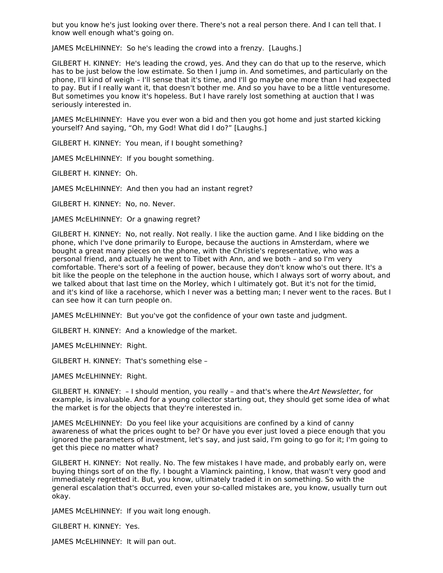but you know he's just looking over there. There's not a real person there. And I can tell that. I know well enough what's going on.

JAMES McELHINNEY: So he's leading the crowd into a frenzy. [Laughs.]

GILBERT H. KINNEY: He's leading the crowd, yes. And they can do that up to the reserve, which has to be just below the low estimate. So then I jump in. And sometimes, and particularly on the phone, I'll kind of weigh – I'll sense that it's time, and I'll go maybe one more than I had expected to pay. But if I really want it, that doesn't bother me. And so you have to be a little venturesome. But sometimes you know it's hopeless. But I have rarely lost something at auction that I was seriously interested in.

JAMES McELHINNEY: Have you ever won a bid and then you got home and just started kicking yourself? And saying, "Oh, my God! What did I do?" [Laughs.]

GILBERT H. KINNEY: You mean, if I bought something?

JAMES McELHINNEY: If you bought something.

GILBERT H. KINNEY: Oh.

JAMES McELHINNEY: And then you had an instant regret?

GILBERT H. KINNEY: No, no. Never.

JAMES McELHINNEY: Or a gnawing regret?

GILBERT H. KINNEY: No, not really. Not really. I like the auction game. And I like bidding on the phone, which I've done primarily to Europe, because the auctions in Amsterdam, where we bought a great many pieces on the phone, with the Christie's representative, who was a personal friend, and actually he went to Tibet with Ann, and we both – and so I'm very comfortable. There's sort of a feeling of power, because they don't know who's out there. It's a bit like the people on the telephone in the auction house, which I always sort of worry about, and we talked about that last time on the Morley, which I ultimately got. But it's not for the timid, and it's kind of like a racehorse, which I never was a betting man; I never went to the races. But I can see how it can turn people on.

JAMES McELHINNEY: But you've got the confidence of your own taste and judgment.

GILBERT H. KINNEY: And a knowledge of the market.

JAMES McELHINNEY: Right.

GILBERT H. KINNEY: That's something else –

JAMES McELHINNEY: Right.

GILBERT H. KINNEY:  $-1$  should mention, you really - and that's where the Art Newsletter, for example, is invaluable. And for a young collector starting out, they should get some idea of what the market is for the objects that they're interested in.

JAMES McELHINNEY: Do you feel like your acquisitions are confined by a kind of canny awareness of what the prices ought to be? Or have you ever just loved a piece enough that you ignored the parameters of investment, let's say, and just said, I'm going to go for it; I'm going to get this piece no matter what?

GILBERT H. KINNEY: Not really. No. The few mistakes I have made, and probably early on, were buying things sort of on the fly. I bought a Vlaminck painting, I know, that wasn't very good and immediately regretted it. But, you know, ultimately traded it in on something. So with the general escalation that's occurred, even your so-called mistakes are, you know, usually turn out okay.

JAMES McELHINNEY: If you wait long enough.

GILBERT H. KINNEY: Yes.

JAMES McELHINNEY: It will pan out.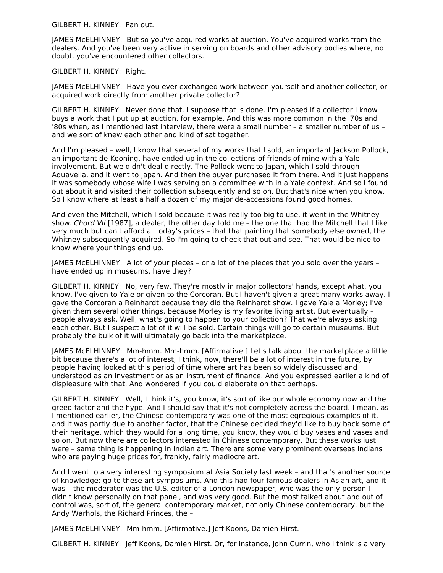GILBERT H. KINNEY: Pan out.

JAMES McELHINNEY: But so you've acquired works at auction. You've acquired works from the dealers. And you've been very active in serving on boards and other advisory bodies where, no doubt, you've encountered other collectors.

GILBERT H. KINNEY: Right.

JAMES McELHINNEY: Have you ever exchanged work between yourself and another collector, or acquired work directly from another private collector?

GILBERT H. KINNEY: Never done that. I suppose that is done. I'm pleased if a collector I know buys a work that I put up at auction, for example. And this was more common in the '70s and '80s when, as I mentioned last interview, there were a small number – a smaller number of us – and we sort of knew each other and kind of sat together.

And I'm pleased – well, I know that several of my works that I sold, an important Jackson Pollock, an important de Kooning, have ended up in the collections of friends of mine with a Yale involvement. But we didn't deal directly. The Pollock went to Japan, which I sold through Aquavella, and it went to Japan. And then the buyer purchased it from there. And it just happens it was somebody whose wife I was serving on a committee with in a Yale context. And so I found out about it and visited their collection subsequently and so on. But that's nice when you know. So I know where at least a half a dozen of my major de-accessions found good homes.

And even the Mitchell, which I sold because it was really too big to use, it went in the Whitney show. Chord VII [1987], a dealer, the other day told me – the one that had the Mitchell that I like very much but can't afford at today's prices – that that painting that somebody else owned, the Whitney subsequently acquired. So I'm going to check that out and see. That would be nice to know where your things end up.

JAMES McELHINNEY: A lot of your pieces – or a lot of the pieces that you sold over the years – have ended up in museums, have they?

GILBERT H. KINNEY: No, very few. They're mostly in major collectors' hands, except what, you know, I've given to Yale or given to the Corcoran. But I haven't given a great many works away. I gave the Corcoran a Reinhardt because they did the Reinhardt show. I gave Yale a Morley; I've given them several other things, because Morley is my favorite living artist. But eventually – people always ask, Well, what's going to happen to your collection? That we're always asking each other. But I suspect a lot of it will be sold. Certain things will go to certain museums. But probably the bulk of it will ultimately go back into the marketplace.

JAMES McELHINNEY: Mm-hmm. Mm-hmm. [Affirmative.] Let's talk about the marketplace a little bit because there's a lot of interest, I think, now, there'll be a lot of interest in the future, by people having looked at this period of time where art has been so widely discussed and understood as an investment or as an instrument of finance. And you expressed earlier a kind of displeasure with that. And wondered if you could elaborate on that perhaps.

GILBERT H. KINNEY: Well, I think it's, you know, it's sort of like our whole economy now and the greed factor and the hype. And I should say that it's not completely across the board. I mean, as I mentioned earlier, the Chinese contemporary was one of the most egregious examples of it, and it was partly due to another factor, that the Chinese decided they'd like to buy back some of their heritage, which they would for a long time, you know, they would buy vases and vases and so on. But now there are collectors interested in Chinese contemporary. But these works just were – same thing is happening in Indian art. There are some very prominent overseas Indians who are paying huge prices for, frankly, fairly mediocre art.

And I went to a very interesting symposium at Asia Society last week – and that's another source of knowledge: go to these art symposiums. And this had four famous dealers in Asian art, and it was – the moderator was the U.S. editor of a London newspaper, who was the only person I didn't know personally on that panel, and was very good. But the most talked about and out of control was, sort of, the general contemporary market, not only Chinese contemporary, but the Andy Warhols, the Richard Princes, the –

JAMES McELHINNEY: Mm-hmm. [Affirmative.] Jeff Koons, Damien Hirst.

GILBERT H. KINNEY: Jeff Koons, Damien Hirst. Or, for instance, John Currin, who I think is a very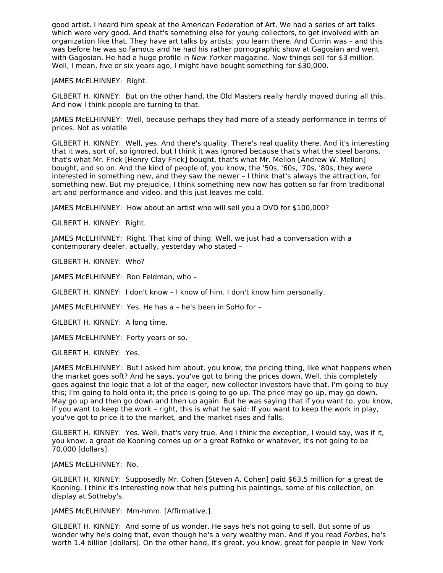good artist. I heard him speak at the American Federation of Art. We had a series of art talks which were very good. And that's something else for young collectors, to get involved with an organization like that. They have art talks by artists; you learn there. And Currin was – and this was before he was so famous and he had his rather pornographic show at Gagosian and went with Gagosian. He had a huge profile in New Yorker magazine. Now things sell for \$3 million. Well, I mean, five or six years ago, I might have bought something for \$30,000.

JAMES McELHINNEY: Right.

GILBERT H. KINNEY: But on the other hand, the Old Masters really hardly moved during all this. And now I think people are turning to that.

JAMES McELHINNEY: Well, because perhaps they had more of a steady performance in terms of prices. Not as volatile.

GILBERT H. KINNEY: Well, yes. And there's quality. There's real quality there. And it's interesting that it was, sort of, so ignored, but I think it was ignored because that's what the steel barons, that's what Mr. Frick [Henry Clay Frick] bought, that's what Mr. Mellon [Andrew W. Mellon] bought, and so on. And the kind of people of, you know, the '50s, '60s, '70s, '80s, they were interested in something new, and they saw the newer – I think that's always the attraction, for something new. But my prejudice, I think something new now has gotten so far from traditional art and performance and video, and this just leaves me cold.

JAMES McELHINNEY: How about an artist who will sell you a DVD for \$100,000?

GILBERT H. KINNEY: Right.

JAMES McELHINNEY: Right. That kind of thing. Well, we just had a conversation with a contemporary dealer, actually, yesterday who stated –

GILBERT H. KINNEY: Who?

JAMES McELHINNEY: Ron Feldman, who –

GILBERT H. KINNEY: I don't know – I know of him. I don't know him personally.

JAMES McELHINNEY: Yes. He has a – he's been in SoHo for –

GILBERT H. KINNEY: A long time.

JAMES McELHINNEY: Forty years or so.

GILBERT H. KINNEY: Yes.

JAMES McELHINNEY: But I asked him about, you know, the pricing thing, like what happens when the market goes soft? And he says, you've got to bring the prices down. Well, this completely goes against the logic that a lot of the eager, new collector investors have that, I'm going to buy this; I'm going to hold onto it; the price is going to go up. The price may go up, may go down. May go up and then go down and then up again. But he was saying that if you want to, you know, if you want to keep the work – right, this is what he said: If you want to keep the work in play, you've got to price it to the market, and the market rises and falls.

GILBERT H. KINNEY: Yes. Well, that's very true. And I think the exception, I would say, was if it, you know, a great de Kooning comes up or a great Rothko or whatever, it's not going to be 70,000 [dollars].

JAMES McELHINNEY: No.

GILBERT H. KINNEY: Supposedly Mr. Cohen [Steven A. Cohen] paid \$63.5 million for a great de Kooning. I think it's interesting now that he's putting his paintings, some of his collection, on display at Sotheby's.

JAMES McELHINNEY: Mm-hmm. [Affirmative.]

GILBERT H. KINNEY: And some of us wonder. He says he's not going to sell. But some of us wonder why he's doing that, even though he's a very wealthy man. And if you read *Forbes*, he's worth 1.4 billion [dollars]. On the other hand, it's great, you know, great for people in New York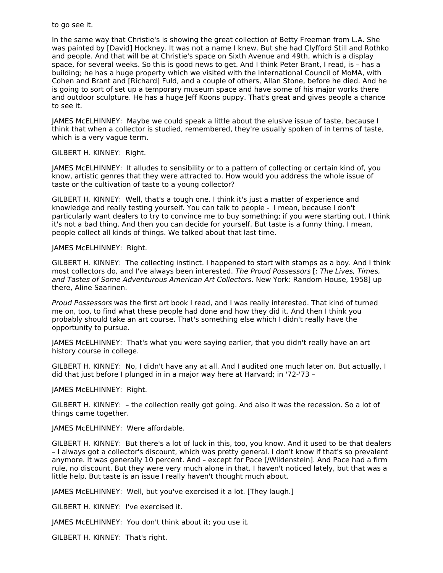#### to go see it.

In the same way that Christie's is showing the great collection of Betty Freeman from L.A. She was painted by [David] Hockney. It was not a name I knew. But she had Clyfford Still and Rothko and people. And that will be at Christie's space on Sixth Avenue and 49th, which is a display space, for several weeks. So this is good news to get. And I think Peter Brant, I read, is – has a building; he has a huge property which we visited with the International Council of MoMA, with Cohen and Brant and [Richard] Fuld, and a couple of others, Allan Stone, before he died. And he is going to sort of set up a temporary museum space and have some of his major works there and outdoor sculpture. He has a huge Jeff Koons puppy. That's great and gives people a chance to see it.

JAMES McELHINNEY: Maybe we could speak a little about the elusive issue of taste, because I think that when a collector is studied, remembered, they're usually spoken of in terms of taste, which is a very vague term.

#### GILBERT H. KINNEY: Right.

JAMES McELHINNEY: It alludes to sensibility or to a pattern of collecting or certain kind of, you know, artistic genres that they were attracted to. How would you address the whole issue of taste or the cultivation of taste to a young collector?

GILBERT H. KINNEY: Well, that's a tough one. I think it's just a matter of experience and knowledge and really testing yourself. You can talk to people - I mean, because I don't particularly want dealers to try to convince me to buy something; if you were starting out, I think it's not a bad thing. And then you can decide for yourself. But taste is a funny thing. I mean, people collect all kinds of things. We talked about that last time.

#### JAMES McELHINNEY: Right.

GILBERT H. KINNEY: The collecting instinct. I happened to start with stamps as a boy. And I think most collectors do, and I've always been interested. The Proud Possessors [: The Lives, Times, and Tastes of Some Adventurous American Art Collectors. New York: Random House, 1958] up there, Aline Saarinen.

Proud Possessors was the first art book I read, and I was really interested. That kind of turned me on, too, to find what these people had done and how they did it. And then I think you probably should take an art course. That's something else which I didn't really have the opportunity to pursue.

JAMES McELHINNEY: That's what you were saying earlier, that you didn't really have an art history course in college.

GILBERT H. KINNEY: No, I didn't have any at all. And I audited one much later on. But actually, I did that just before I plunged in in a major way here at Harvard; in '72-'73 –

JAMES McELHINNEY: Right.

GILBERT H. KINNEY: – the collection really got going. And also it was the recession. So a lot of things came together.

#### JAMES McELHINNEY: Were affordable.

GILBERT H. KINNEY: But there's a lot of luck in this, too, you know. And it used to be that dealers – I always got a collector's discount, which was pretty general. I don't know if that's so prevalent anymore. It was generally 10 percent. And – except for Pace [/Wildenstein]. And Pace had a firm rule, no discount. But they were very much alone in that. I haven't noticed lately, but that was a little help. But taste is an issue I really haven't thought much about.

JAMES McELHINNEY: Well, but you've exercised it a lot. [They laugh.]

GILBERT H. KINNEY: I've exercised it.

JAMES McELHINNEY: You don't think about it; you use it.

GILBERT H. KINNEY: That's right.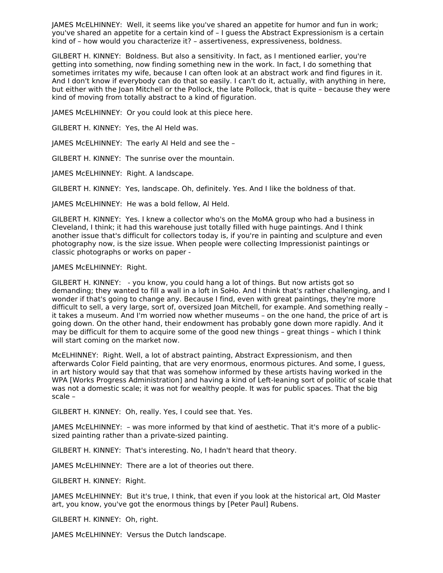JAMES McELHINNEY: Well, it seems like you've shared an appetite for humor and fun in work; you've shared an appetite for a certain kind of – I guess the Abstract Expressionism is a certain kind of – how would you characterize it? – assertiveness, expressiveness, boldness.

GILBERT H. KINNEY: Boldness. But also a sensitivity. In fact, as I mentioned earlier, you're getting into something, now finding something new in the work. In fact, I do something that sometimes irritates my wife, because I can often look at an abstract work and find figures in it. And I don't know if everybody can do that so easily. I can't do it, actually, with anything in here, but either with the Joan Mitchell or the Pollock, the late Pollock, that is quite – because they were kind of moving from totally abstract to a kind of figuration.

JAMES McELHINNEY: Or you could look at this piece here.

GILBERT H. KINNEY: Yes, the Al Held was.

JAMES McELHINNEY: The early Al Held and see the –

GILBERT H. KINNEY: The sunrise over the mountain.

JAMES McELHINNEY: Right. A landscape.

GILBERT H. KINNEY: Yes, landscape. Oh, definitely. Yes. And I like the boldness of that.

JAMES McELHINNEY: He was a bold fellow, Al Held.

GILBERT H. KINNEY: Yes. I knew a collector who's on the MoMA group who had a business in Cleveland, I think; it had this warehouse just totally filled with huge paintings. And I think another issue that's difficult for collectors today is, if you're in painting and sculpture and even photography now, is the size issue. When people were collecting Impressionist paintings or classic photographs or works on paper -

#### JAMES McELHINNEY: Right.

GILBERT H. KINNEY: - you know, you could hang a lot of things. But now artists got so demanding; they wanted to fill a wall in a loft in SoHo. And I think that's rather challenging, and I wonder if that's going to change any. Because I find, even with great paintings, they're more difficult to sell, a very large, sort of, oversized Joan Mitchell, for example. And something really – it takes a museum. And I'm worried now whether museums – on the one hand, the price of art is going down. On the other hand, their endowment has probably gone down more rapidly. And it may be difficult for them to acquire some of the good new things – great things – which I think will start coming on the market now.

McELHINNEY: Right. Well, a lot of abstract painting, Abstract Expressionism, and then afterwards Color Field painting, that are very enormous, enormous pictures. And some, I guess, in art history would say that that was somehow informed by these artists having worked in the WPA [Works Progress Administration] and having a kind of Left-leaning sort of politic of scale that was not a domestic scale; it was not for wealthy people. It was for public spaces. That the big scale –

GILBERT H. KINNEY: Oh, really. Yes, I could see that. Yes.

JAMES McELHINNEY: – was more informed by that kind of aesthetic. That it's more of a publicsized painting rather than a private-sized painting.

GILBERT H. KINNEY: That's interesting. No, I hadn't heard that theory.

JAMES McELHINNEY: There are a lot of theories out there.

GILBERT H. KINNEY: Right.

JAMES McELHINNEY: But it's true, I think, that even if you look at the historical art, Old Master art, you know, you've got the enormous things by [Peter Paul] Rubens.

GILBERT H. KINNEY: Oh, right.

JAMES McELHINNEY: Versus the Dutch landscape.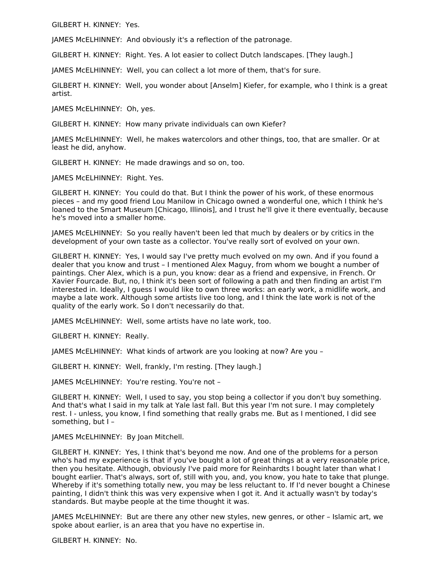GILBERT H. KINNEY: Yes.

JAMES McELHINNEY: And obviously it's a reflection of the patronage.

GILBERT H. KINNEY: Right. Yes. A lot easier to collect Dutch landscapes. [They laugh.]

JAMES McELHINNEY: Well, you can collect a lot more of them, that's for sure.

GILBERT H. KINNEY: Well, you wonder about [Anselm] Kiefer, for example, who I think is a great artist.

JAMES McELHINNEY: Oh, yes.

GILBERT H. KINNEY: How many private individuals can own Kiefer?

JAMES McELHINNEY: Well, he makes watercolors and other things, too, that are smaller. Or at least he did, anyhow.

GILBERT H. KINNEY: He made drawings and so on, too.

JAMES McELHINNEY: Right. Yes.

GILBERT H. KINNEY: You could do that. But I think the power of his work, of these enormous pieces – and my good friend Lou Manilow in Chicago owned a wonderful one, which I think he's loaned to the Smart Museum [Chicago, Illinois], and I trust he'll give it there eventually, because he's moved into a smaller home.

JAMES McELHINNEY: So you really haven't been led that much by dealers or by critics in the development of your own taste as a collector. You've really sort of evolved on your own.

GILBERT H. KINNEY: Yes, I would say I've pretty much evolved on my own. And if you found a dealer that you know and trust – I mentioned Alex Maguy, from whom we bought a number of paintings. Cher Alex, which is a pun, you know: dear as a friend and expensive, in French. Or Xavier Fourcade. But, no, I think it's been sort of following a path and then finding an artist I'm interested in. Ideally, I guess I would like to own three works: an early work, a midlife work, and maybe a late work. Although some artists live too long, and I think the late work is not of the quality of the early work. So I don't necessarily do that.

JAMES McELHINNEY: Well, some artists have no late work, too.

GILBERT H. KINNEY: Really.

JAMES McELHINNEY: What kinds of artwork are you looking at now? Are you –

GILBERT H. KINNEY: Well, frankly, I'm resting. [They laugh.]

JAMES McELHINNEY: You're resting. You're not –

GILBERT H. KINNEY: Well, I used to say, you stop being a collector if you don't buy something. And that's what I said in my talk at Yale last fall. But this year I'm not sure. I may completely rest. I - unless, you know, I find something that really grabs me. But as I mentioned, I did see something, but I –

JAMES McELHINNEY: By Joan Mitchell.

GILBERT H. KINNEY: Yes, I think that's beyond me now. And one of the problems for a person who's had my experience is that if you've bought a lot of great things at a very reasonable price, then you hesitate. Although, obviously I've paid more for Reinhardts I bought later than what I bought earlier. That's always, sort of, still with you, and, you know, you hate to take that plunge. Whereby if it's something totally new, you may be less reluctant to. If I'd never bought a Chinese painting, I didn't think this was very expensive when I got it. And it actually wasn't by today's standards. But maybe people at the time thought it was.

JAMES McELHINNEY: But are there any other new styles, new genres, or other – Islamic art, we spoke about earlier, is an area that you have no expertise in.

GILBERT H. KINNEY: No.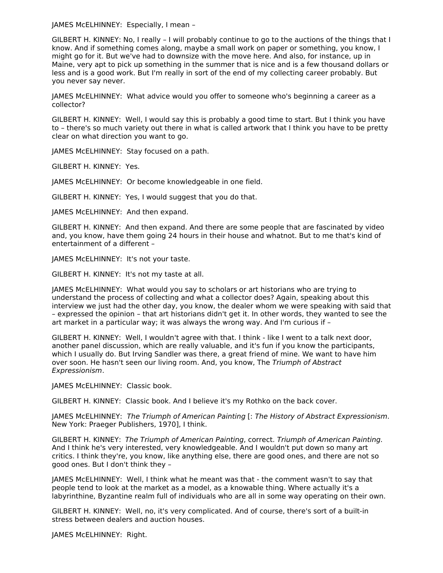JAMES McELHINNEY: Especially, I mean –

GILBERT H. KINNEY: No, I really – I will probably continue to go to the auctions of the things that I know. And if something comes along, maybe a small work on paper or something, you know, I might go for it. But we've had to downsize with the move here. And also, for instance, up in Maine, very apt to pick up something in the summer that is nice and is a few thousand dollars or less and is a good work. But I'm really in sort of the end of my collecting career probably. But you never say never.

JAMES McELHINNEY: What advice would you offer to someone who's beginning a career as a collector?

GILBERT H. KINNEY: Well, I would say this is probably a good time to start. But I think you have to – there's so much variety out there in what is called artwork that I think you have to be pretty clear on what direction you want to go.

JAMES McELHINNEY: Stay focused on a path.

GILBERT H. KINNEY: Yes.

JAMES McELHINNEY: Or become knowledgeable in one field.

GILBERT H. KINNEY: Yes, I would suggest that you do that.

JAMES McELHINNEY: And then expand.

GILBERT H. KINNEY: And then expand. And there are some people that are fascinated by video and, you know, have them going 24 hours in their house and whatnot. But to me that's kind of entertainment of a different –

JAMES McELHINNEY: It's not your taste.

GILBERT H. KINNEY: It's not my taste at all.

JAMES McELHINNEY: What would you say to scholars or art historians who are trying to understand the process of collecting and what a collector does? Again, speaking about this interview we just had the other day, you know, the dealer whom we were speaking with said that – expressed the opinion – that art historians didn't get it. In other words, they wanted to see the art market in a particular way; it was always the wrong way. And I'm curious if –

GILBERT H. KINNEY: Well, I wouldn't agree with that. I think - like I went to a talk next door, another panel discussion, which are really valuable, and it's fun if you know the participants, which I usually do. But Irving Sandler was there, a great friend of mine. We want to have him over soon. He hasn't seen our living room. And, you know, The Triumph of Abstract Expressionism.

JAMES McELHINNEY: Classic book.

GILBERT H. KINNEY: Classic book. And I believe it's my Rothko on the back cover.

JAMES McELHINNEY: The Triumph of American Painting [: The History of Abstract Expressionism. New York: Praeger Publishers, 1970], I think.

GILBERT H. KINNEY: The Triumph of American Painting, correct. Triumph of American Painting. And I think he's very interested, very knowledgeable. And I wouldn't put down so many art critics. I think they're, you know, like anything else, there are good ones, and there are not so good ones. But I don't think they –

JAMES McELHINNEY: Well, I think what he meant was that - the comment wasn't to say that people tend to look at the market as a model, as a knowable thing. Where actually it's a labyrinthine, Byzantine realm full of individuals who are all in some way operating on their own.

GILBERT H. KINNEY: Well, no, it's very complicated. And of course, there's sort of a built-in stress between dealers and auction houses.

JAMES McELHINNEY: Right.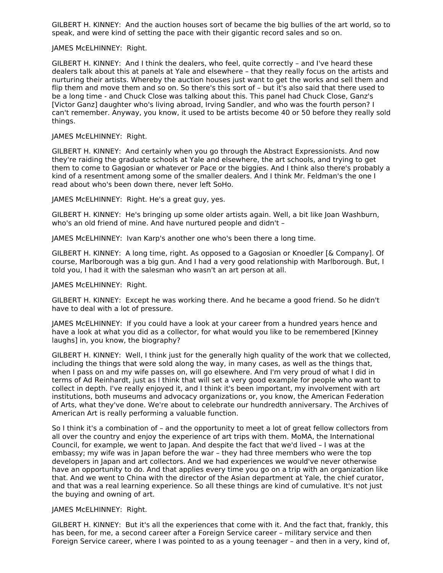GILBERT H. KINNEY: And the auction houses sort of became the big bullies of the art world, so to speak, and were kind of setting the pace with their gigantic record sales and so on.

#### JAMES McELHINNEY: Right.

GILBERT H. KINNEY: And I think the dealers, who feel, quite correctly – and I've heard these dealers talk about this at panels at Yale and elsewhere – that they really focus on the artists and nurturing their artists. Whereby the auction houses just want to get the works and sell them and flip them and move them and so on. So there's this sort of – but it's also said that there used to be a long time - and Chuck Close was talking about this. This panel had Chuck Close, Ganz's [Victor Ganz] daughter who's living abroad, Irving Sandler, and who was the fourth person? I can't remember. Anyway, you know, it used to be artists become 40 or 50 before they really sold things.

#### JAMES McELHINNEY: Right.

GILBERT H. KINNEY: And certainly when you go through the Abstract Expressionists. And now they're raiding the graduate schools at Yale and elsewhere, the art schools, and trying to get them to come to Gagosian or whatever or Pace or the biggies. And I think also there's probably a kind of a resentment among some of the smaller dealers. And I think Mr. Feldman's the one I read about who's been down there, never left SoHo.

JAMES McELHINNEY: Right. He's a great guy, yes.

GILBERT H. KINNEY: He's bringing up some older artists again. Well, a bit like Joan Washburn, who's an old friend of mine. And have nurtured people and didn't –

JAMES McELHINNEY: Ivan Karp's another one who's been there a long time.

GILBERT H. KINNEY: A long time, right. As opposed to a Gagosian or Knoedler [& Company]. Of course, Marlborough was a big gun. And I had a very good relationship with Marlborough. But, I told you, I had it with the salesman who wasn't an art person at all.

#### JAMES McELHINNEY: Right.

GILBERT H. KINNEY: Except he was working there. And he became a good friend. So he didn't have to deal with a lot of pressure.

JAMES McELHINNEY: If you could have a look at your career from a hundred years hence and have a look at what you did as a collector, for what would you like to be remembered [Kinney laughs] in, you know, the biography?

GILBERT H. KINNEY: Well, I think just for the generally high quality of the work that we collected, including the things that were sold along the way, in many cases, as well as the things that, when I pass on and my wife passes on, will go elsewhere. And I'm very proud of what I did in terms of Ad Reinhardt, just as I think that will set a very good example for people who want to collect in depth. I've really enjoyed it, and I think it's been important, my involvement with art institutions, both museums and advocacy organizations or, you know, the American Federation of Arts, what they've done. We're about to celebrate our hundredth anniversary. The Archives of American Art is really performing a valuable function.

So I think it's a combination of – and the opportunity to meet a lot of great fellow collectors from all over the country and enjoy the experience of art trips with them. MoMA, the International Council, for example, we went to Japan. And despite the fact that we'd lived – I was at the embassy; my wife was in Japan before the war – they had three members who were the top developers in Japan and art collectors. And we had experiences we would've never otherwise have an opportunity to do. And that applies every time you go on a trip with an organization like that. And we went to China with the director of the Asian department at Yale, the chief curator, and that was a real learning experience. So all these things are kind of cumulative. It's not just the buying and owning of art.

#### JAMES McELHINNEY: Right.

GILBERT H. KINNEY: But it's all the experiences that come with it. And the fact that, frankly, this has been, for me, a second career after a Foreign Service career – military service and then Foreign Service career, where I was pointed to as a young teenager – and then in a very, kind of,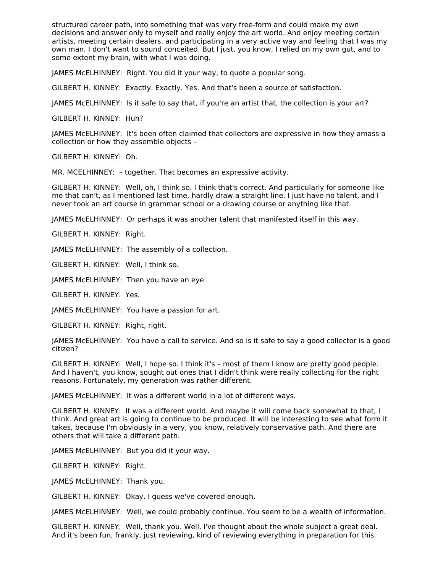structured career path, into something that was very free-form and could make my own decisions and answer only to myself and really enjoy the art world. And enjoy meeting certain artists, meeting certain dealers, and participating in a very active way and feeling that I was my own man. I don't want to sound conceited. But I just, you know, I relied on my own gut, and to some extent my brain, with what I was doing.

JAMES McELHINNEY: Right. You did it your way, to quote a popular song.

GILBERT H. KINNEY: Exactly. Exactly. Yes. And that's been a source of satisfaction.

JAMES McELHINNEY: Is it safe to say that, if you're an artist that, the collection is your art?

GILBERT H. KINNEY: Huh?

JAMES McELHINNEY: It's been often claimed that collectors are expressive in how they amass a collection or how they assemble objects –

GILBERT H. KINNEY: Oh.

MR. MCELHINNEY: – together. That becomes an expressive activity.

GILBERT H. KINNEY: Well, oh, I think so. I think that's correct. And particularly for someone like me that can't, as I mentioned last time, hardly draw a straight line. I just have no talent, and I never took an art course in grammar school or a drawing course or anything like that.

JAMES McELHINNEY: Or perhaps it was another talent that manifested itself in this way.

GILBERT H. KINNEY: Right.

JAMES McELHINNEY: The assembly of a collection.

GILBERT H. KINNEY: Well, I think so.

JAMES McELHINNEY: Then you have an eye.

GILBERT H. KINNEY: Yes.

JAMES McELHINNEY: You have a passion for art.

GILBERT H. KINNEY: Right, right.

JAMES McELHINNEY: You have a call to service. And so is it safe to say a good collector is a good citizen?

GILBERT H. KINNEY: Well, I hope so. I think it's – most of them I know are pretty good people. And I haven't, you know, sought out ones that I didn't think were really collecting for the right reasons. Fortunately, my generation was rather different.

JAMES McELHINNEY: It was a different world in a lot of different ways.

GILBERT H. KINNEY: It was a different world. And maybe it will come back somewhat to that, I think. And great art is going to continue to be produced. It will be interesting to see what form it takes, because I'm obviously in a very, you know, relatively conservative path. And there are others that will take a different path.

JAMES McELHINNEY: But you did it your way.

GILBERT H. KINNEY: Right.

JAMES McELHINNEY: Thank you.

GILBERT H. KINNEY: Okay. I guess we've covered enough.

JAMES McELHINNEY: Well, we could probably continue. You seem to be a wealth of information.

GILBERT H. KINNEY: Well, thank you. Well, I've thought about the whole subject a great deal. And it's been fun, frankly, just reviewing, kind of reviewing everything in preparation for this.